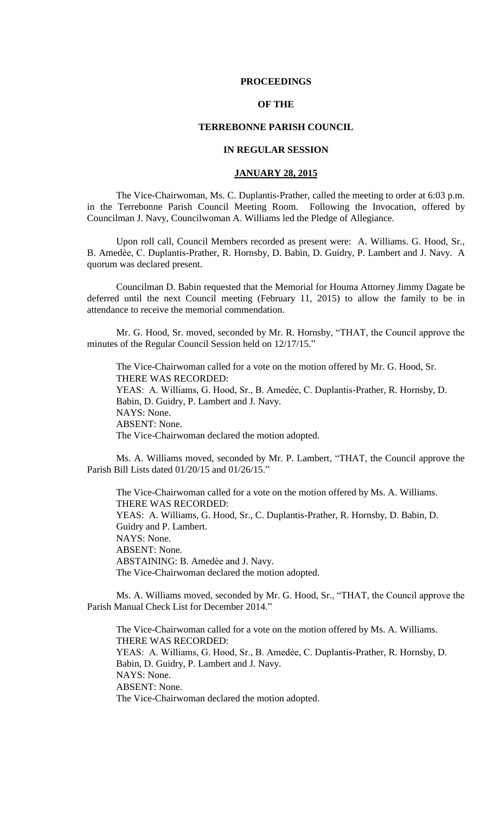### **PROCEEDINGS**

# **OF THE**

## **TERREBONNE PARISH COUNCIL**

# **IN REGULAR SESSION**

## **JANUARY 28, 2015**

The Vice-Chairwoman, Ms. C. Duplantis-Prather, called the meeting to order at 6:03 p.m. in the Terrebonne Parish Council Meeting Room. Following the Invocation, offered by Councilman J. Navy, Councilwoman A. Williams led the Pledge of Allegiance.

Upon roll call, Council Members recorded as present were: A. Williams. G. Hood, Sr., B. Amedѐe, C. Duplantis-Prather, R. Hornsby, D. Babin, D. Guidry, P. Lambert and J. Navy. A quorum was declared present.

Councilman D. Babin requested that the Memorial for Houma Attorney Jimmy Dagate be deferred until the next Council meeting (February 11, 2015) to allow the family to be in attendance to receive the memorial commendation.

Mr. G. Hood, Sr. moved, seconded by Mr. R. Hornsby, "THAT, the Council approve the minutes of the Regular Council Session held on 12/17/15."

The Vice-Chairwoman called for a vote on the motion offered by Mr. G. Hood, Sr. THERE WAS RECORDED: YEAS: A. Williams, G. Hood, Sr., B. Amedèe, C. Duplantis-Prather, R. Hornsby, D. Babin, D. Guidry, P. Lambert and J. Navy. NAYS: None. ABSENT: None. The Vice-Chairwoman declared the motion adopted.

Ms. A. Williams moved, seconded by Mr. P. Lambert, "THAT, the Council approve the Parish Bill Lists dated 01/20/15 and 01/26/15."

The Vice-Chairwoman called for a vote on the motion offered by Ms. A. Williams. THERE WAS RECORDED: YEAS: A. Williams, G. Hood, Sr., C. Duplantis-Prather, R. Hornsby, D. Babin, D. Guidry and P. Lambert. NAYS: None. ABSENT: None. ABSTAINING: B. Amedèe and J. Navy. The Vice-Chairwoman declared the motion adopted.

Ms. A. Williams moved, seconded by Mr. G. Hood, Sr., "THAT, the Council approve the Parish Manual Check List for December 2014."

The Vice-Chairwoman called for a vote on the motion offered by Ms. A. Williams. THERE WAS RECORDED: YEAS: A. Williams, G. Hood, Sr., B. Amedèe, C. Duplantis-Prather, R. Hornsby, D. Babin, D. Guidry, P. Lambert and J. Navy. NAYS: None. ABSENT: None. The Vice-Chairwoman declared the motion adopted.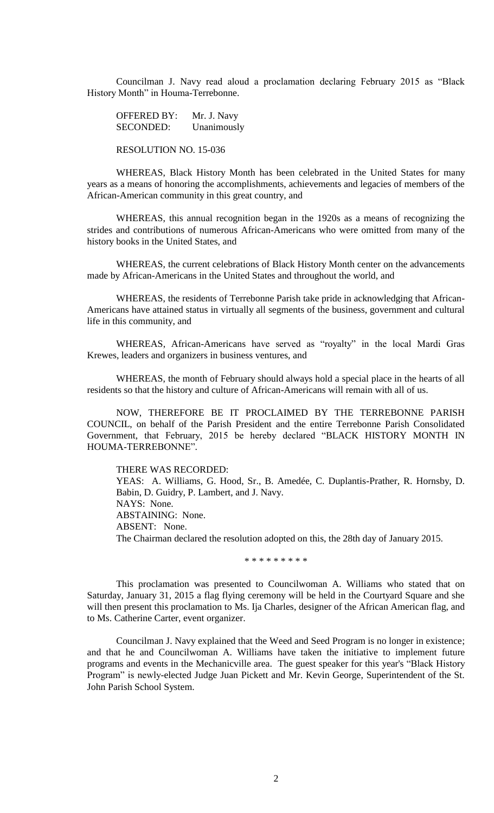Councilman J. Navy read aloud a proclamation declaring February 2015 as "Black History Month" in Houma-Terrebonne.

OFFERED BY: Mr. J. Navy SECONDED: Unanimously

RESOLUTION NO. 15-036

WHEREAS, Black History Month has been celebrated in the United States for many years as a means of honoring the accomplishments, achievements and legacies of members of the African-American community in this great country, and

WHEREAS, this annual recognition began in the 1920s as a means of recognizing the strides and contributions of numerous African-Americans who were omitted from many of the history books in the United States, and

WHEREAS, the current celebrations of Black History Month center on the advancements made by African-Americans in the United States and throughout the world, and

WHEREAS, the residents of Terrebonne Parish take pride in acknowledging that African-Americans have attained status in virtually all segments of the business, government and cultural life in this community, and

WHEREAS, African-Americans have served as "royalty" in the local Mardi Gras Krewes, leaders and organizers in business ventures, and

WHEREAS, the month of February should always hold a special place in the hearts of all residents so that the history and culture of African-Americans will remain with all of us.

NOW, THEREFORE BE IT PROCLAIMED BY THE TERREBONNE PARISH COUNCIL, on behalf of the Parish President and the entire Terrebonne Parish Consolidated Government, that February, 2015 be hereby declared "BLACK HISTORY MONTH IN HOUMA-TERREBONNE".

THERE WAS RECORDED:

YEAS: A. Williams, G. Hood, Sr., B. Amedée, C. Duplantis-Prather, R. Hornsby, D. Babin, D. Guidry, P. Lambert, and J. Navy. NAYS: None. ABSTAINING: None. ABSENT: None. The Chairman declared the resolution adopted on this, the 28th day of January 2015.

\* \* \* \* \* \* \* \* \*

This proclamation was presented to Councilwoman A. Williams who stated that on Saturday, January 31, 2015 a flag flying ceremony will be held in the Courtyard Square and she will then present this proclamation to Ms. Ija Charles, designer of the African American flag, and to Ms. Catherine Carter, event organizer.

Councilman J. Navy explained that the Weed and Seed Program is no longer in existence; and that he and Councilwoman A. Williams have taken the initiative to implement future programs and events in the Mechanicville area. The guest speaker for this year's "Black History Program" is newly-elected Judge Juan Pickett and Mr. Kevin George, Superintendent of the St. John Parish School System.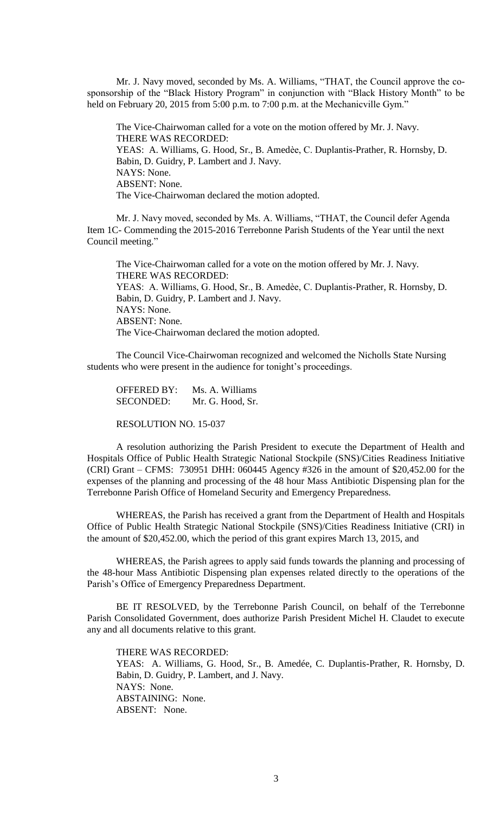Mr. J. Navy moved, seconded by Ms. A. Williams, "THAT, the Council approve the cosponsorship of the "Black History Program" in conjunction with "Black History Month" to be held on February 20, 2015 from 5:00 p.m. to 7:00 p.m. at the Mechanicville Gym."

The Vice-Chairwoman called for a vote on the motion offered by Mr. J. Navy. THERE WAS RECORDED: YEAS: A. Williams, G. Hood, Sr., B. Amedèe, C. Duplantis-Prather, R. Hornsby, D. Babin, D. Guidry, P. Lambert and J. Navy. NAYS: None. ABSENT: None. The Vice-Chairwoman declared the motion adopted.

Mr. J. Navy moved, seconded by Ms. A. Williams, "THAT, the Council defer Agenda Item 1C- Commending the 2015-2016 Terrebonne Parish Students of the Year until the next Council meeting."

The Vice-Chairwoman called for a vote on the motion offered by Mr. J. Navy. THERE WAS RECORDED: YEAS: A. Williams, G. Hood, Sr., B. Amedèe, C. Duplantis-Prather, R. Hornsby, D. Babin, D. Guidry, P. Lambert and J. Navy. NAYS: None. ABSENT: None. The Vice-Chairwoman declared the motion adopted.

The Council Vice-Chairwoman recognized and welcomed the Nicholls State Nursing students who were present in the audience for tonight's proceedings.

OFFERED BY: Ms. A. Williams SECONDED: Mr. G. Hood, Sr.

RESOLUTION NO. 15-037

A resolution authorizing the Parish President to execute the Department of Health and Hospitals Office of Public Health Strategic National Stockpile (SNS)/Cities Readiness Initiative (CRI) Grant – CFMS: 730951 DHH: 060445 Agency #326 in the amount of \$20,452.00 for the expenses of the planning and processing of the 48 hour Mass Antibiotic Dispensing plan for the Terrebonne Parish Office of Homeland Security and Emergency Preparedness.

WHEREAS, the Parish has received a grant from the Department of Health and Hospitals Office of Public Health Strategic National Stockpile (SNS)/Cities Readiness Initiative (CRI) in the amount of \$20,452.00, which the period of this grant expires March 13, 2015, and

WHEREAS, the Parish agrees to apply said funds towards the planning and processing of the 48-hour Mass Antibiotic Dispensing plan expenses related directly to the operations of the Parish's Office of Emergency Preparedness Department.

BE IT RESOLVED, by the Terrebonne Parish Council, on behalf of the Terrebonne Parish Consolidated Government, does authorize Parish President Michel H. Claudet to execute any and all documents relative to this grant.

THERE WAS RECORDED:

YEAS: A. Williams, G. Hood, Sr., B. Amedée, C. Duplantis-Prather, R. Hornsby, D. Babin, D. Guidry, P. Lambert, and J. Navy. NAYS: None. ABSTAINING: None. ABSENT: None.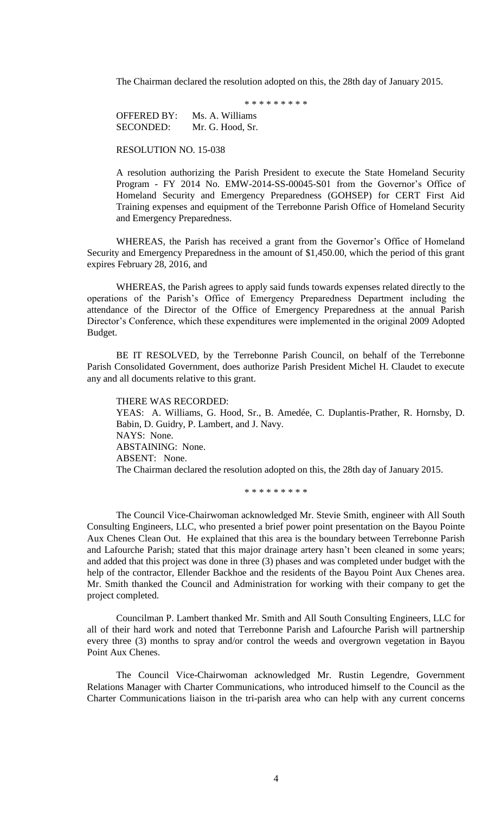The Chairman declared the resolution adopted on this, the 28th day of January 2015.

\* \* \* \* \* \* \* \* \*

OFFERED BY: Ms. A. Williams SECONDED: Mr. G. Hood, Sr.

RESOLUTION NO. 15-038

A resolution authorizing the Parish President to execute the State Homeland Security Program - FY 2014 No. EMW-2014-SS-00045-S01 from the Governor's Office of Homeland Security and Emergency Preparedness (GOHSEP) for CERT First Aid Training expenses and equipment of the Terrebonne Parish Office of Homeland Security and Emergency Preparedness.

WHEREAS, the Parish has received a grant from the Governor's Office of Homeland Security and Emergency Preparedness in the amount of \$1,450.00, which the period of this grant expires February 28, 2016, and

WHEREAS, the Parish agrees to apply said funds towards expenses related directly to the operations of the Parish's Office of Emergency Preparedness Department including the attendance of the Director of the Office of Emergency Preparedness at the annual Parish Director's Conference, which these expenditures were implemented in the original 2009 Adopted Budget.

BE IT RESOLVED, by the Terrebonne Parish Council, on behalf of the Terrebonne Parish Consolidated Government, does authorize Parish President Michel H. Claudet to execute any and all documents relative to this grant.

THERE WAS RECORDED: YEAS: A. Williams, G. Hood, Sr., B. Amedée, C. Duplantis-Prather, R. Hornsby, D. Babin, D. Guidry, P. Lambert, and J. Navy. NAYS: None. ABSTAINING: None. ABSENT: None. The Chairman declared the resolution adopted on this, the 28th day of January 2015.

\* \* \* \* \* \* \* \* \*

The Council Vice-Chairwoman acknowledged Mr. Stevie Smith, engineer with All South Consulting Engineers, LLC, who presented a brief power point presentation on the Bayou Pointe Aux Chenes Clean Out. He explained that this area is the boundary between Terrebonne Parish and Lafourche Parish; stated that this major drainage artery hasn't been cleaned in some years; and added that this project was done in three (3) phases and was completed under budget with the help of the contractor, Ellender Backhoe and the residents of the Bayou Point Aux Chenes area. Mr. Smith thanked the Council and Administration for working with their company to get the project completed.

Councilman P. Lambert thanked Mr. Smith and All South Consulting Engineers, LLC for all of their hard work and noted that Terrebonne Parish and Lafourche Parish will partnership every three (3) months to spray and/or control the weeds and overgrown vegetation in Bayou Point Aux Chenes.

The Council Vice-Chairwoman acknowledged Mr. Rustin Legendre, Government Relations Manager with Charter Communications, who introduced himself to the Council as the Charter Communications liaison in the tri-parish area who can help with any current concerns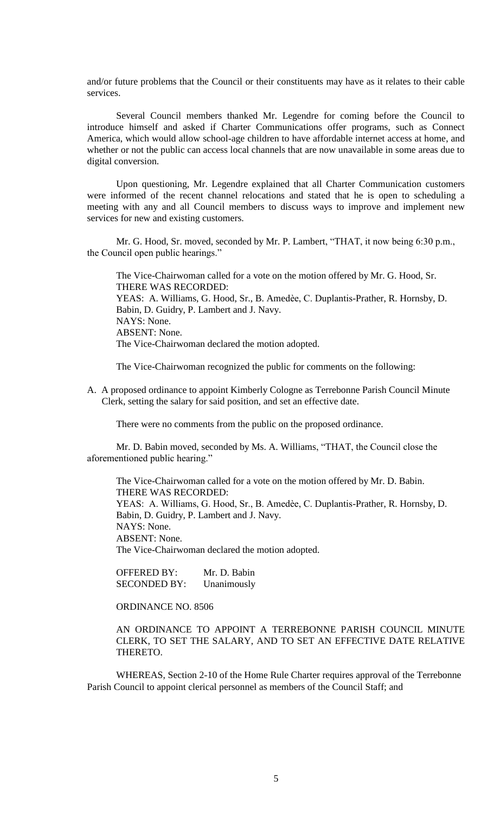and/or future problems that the Council or their constituents may have as it relates to their cable services.

Several Council members thanked Mr. Legendre for coming before the Council to introduce himself and asked if Charter Communications offer programs, such as Connect America, which would allow school-age children to have affordable internet access at home, and whether or not the public can access local channels that are now unavailable in some areas due to digital conversion.

Upon questioning, Mr. Legendre explained that all Charter Communication customers were informed of the recent channel relocations and stated that he is open to scheduling a meeting with any and all Council members to discuss ways to improve and implement new services for new and existing customers.

Mr. G. Hood, Sr. moved, seconded by Mr. P. Lambert, "THAT, it now being 6:30 p.m., the Council open public hearings."

The Vice-Chairwoman called for a vote on the motion offered by Mr. G. Hood, Sr. THERE WAS RECORDED: YEAS: A. Williams, G. Hood, Sr., B. Amedèe, C. Duplantis-Prather, R. Hornsby, D. Babin, D. Guidry, P. Lambert and J. Navy. NAYS: None. ABSENT: None.

The Vice-Chairwoman declared the motion adopted.

The Vice-Chairwoman recognized the public for comments on the following:

A. A proposed ordinance to appoint Kimberly Cologne as Terrebonne Parish Council Minute Clerk, setting the salary for said position, and set an effective date.

There were no comments from the public on the proposed ordinance.

Mr. D. Babin moved, seconded by Ms. A. Williams, "THAT, the Council close the aforementioned public hearing."

The Vice-Chairwoman called for a vote on the motion offered by Mr. D. Babin. THERE WAS RECORDED: YEAS: A. Williams, G. Hood, Sr., B. Amedèe, C. Duplantis-Prather, R. Hornsby, D. Babin, D. Guidry, P. Lambert and J. Navy. NAYS: None. ABSENT: None. The Vice-Chairwoman declared the motion adopted.

OFFERED BY: Mr. D. Babin SECONDED BY: Unanimously

ORDINANCE NO. 8506

AN ORDINANCE TO APPOINT A TERREBONNE PARISH COUNCIL MINUTE CLERK, TO SET THE SALARY, AND TO SET AN EFFECTIVE DATE RELATIVE THERETO.

WHEREAS, Section 2-10 of the Home Rule Charter requires approval of the Terrebonne Parish Council to appoint clerical personnel as members of the Council Staff; and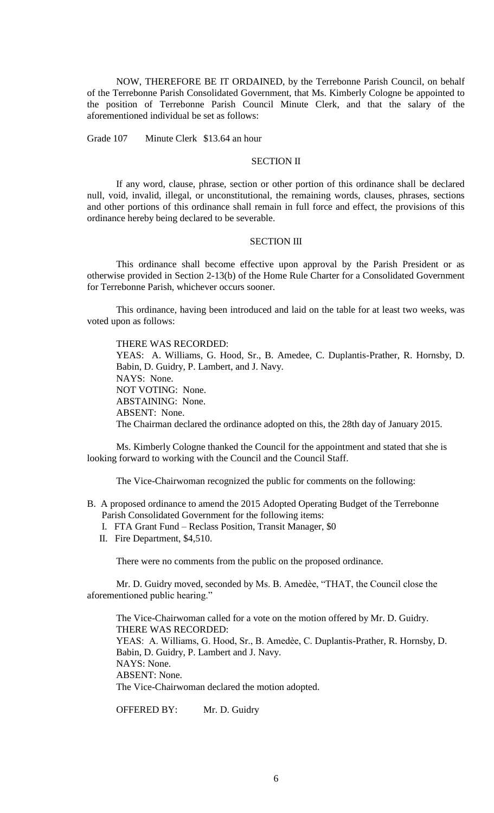NOW, THEREFORE BE IT ORDAINED, by the Terrebonne Parish Council, on behalf of the Terrebonne Parish Consolidated Government, that Ms. Kimberly Cologne be appointed to the position of Terrebonne Parish Council Minute Clerk, and that the salary of the aforementioned individual be set as follows:

Grade 107 Minute Clerk \$13.64 an hour

# SECTION II

If any word, clause, phrase, section or other portion of this ordinance shall be declared null, void, invalid, illegal, or unconstitutional, the remaining words, clauses, phrases, sections and other portions of this ordinance shall remain in full force and effect, the provisions of this ordinance hereby being declared to be severable.

#### SECTION III

This ordinance shall become effective upon approval by the Parish President or as otherwise provided in Section 2-13(b) of the Home Rule Charter for a Consolidated Government for Terrebonne Parish, whichever occurs sooner.

This ordinance, having been introduced and laid on the table for at least two weeks, was voted upon as follows:

THERE WAS RECORDED: YEAS: A. Williams, G. Hood, Sr., B. Amedee, C. Duplantis-Prather, R. Hornsby, D. Babin, D. Guidry, P. Lambert, and J. Navy. NAYS: None. NOT VOTING: None. ABSTAINING: None. ABSENT: None. The Chairman declared the ordinance adopted on this, the 28th day of January 2015.

Ms. Kimberly Cologne thanked the Council for the appointment and stated that she is looking forward to working with the Council and the Council Staff.

The Vice-Chairwoman recognized the public for comments on the following:

- B. A proposed ordinance to amend the 2015 Adopted Operating Budget of the Terrebonne Parish Consolidated Government for the following items:
	- I. FTA Grant Fund Reclass Position, Transit Manager, \$0
	- II. Fire Department, \$4,510.

There were no comments from the public on the proposed ordinance.

Mr. D. Guidry moved, seconded by Ms. B. Amedѐe, "THAT, the Council close the aforementioned public hearing."

The Vice-Chairwoman called for a vote on the motion offered by Mr. D. Guidry. THERE WAS RECORDED: YEAS: A. Williams, G. Hood, Sr., B. Amedèe, C. Duplantis-Prather, R. Hornsby, D. Babin, D. Guidry, P. Lambert and J. Navy. NAYS: None. ABSENT: None. The Vice-Chairwoman declared the motion adopted.

OFFERED BY: Mr. D. Guidry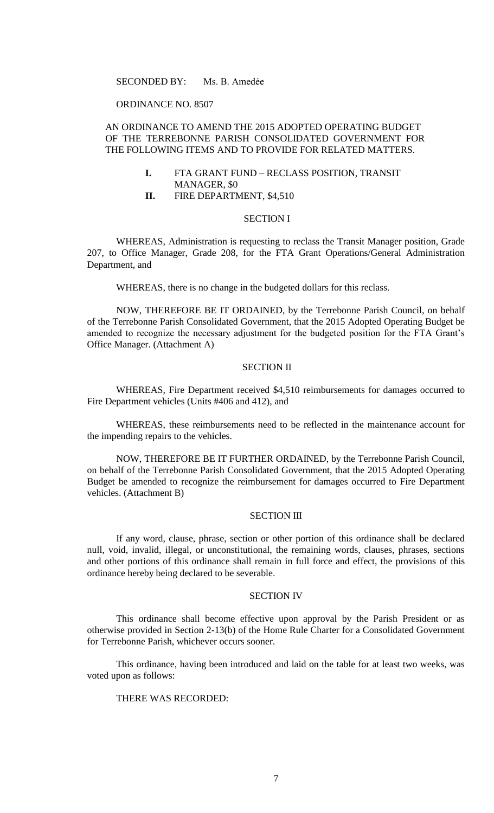## SECONDED BY: Ms. B. Amedẻe

### ORDINANCE NO. 8507

# AN ORDINANCE TO AMEND THE 2015 ADOPTED OPERATING BUDGET OF THE TERREBONNE PARISH CONSOLIDATED GOVERNMENT FOR THE FOLLOWING ITEMS AND TO PROVIDE FOR RELATED MATTERS.

- **I.** FTA GRANT FUND RECLASS POSITION, TRANSIT MANAGER, \$0
- **II.** FIRE DEPARTMENT, \$4,510

### SECTION I

WHEREAS, Administration is requesting to reclass the Transit Manager position, Grade 207, to Office Manager, Grade 208, for the FTA Grant Operations/General Administration Department, and

WHEREAS, there is no change in the budgeted dollars for this reclass.

NOW, THEREFORE BE IT ORDAINED, by the Terrebonne Parish Council, on behalf of the Terrebonne Parish Consolidated Government, that the 2015 Adopted Operating Budget be amended to recognize the necessary adjustment for the budgeted position for the FTA Grant's Office Manager. (Attachment A)

# SECTION II

WHEREAS, Fire Department received \$4,510 reimbursements for damages occurred to Fire Department vehicles (Units #406 and 412), and

WHEREAS, these reimbursements need to be reflected in the maintenance account for the impending repairs to the vehicles.

NOW, THEREFORE BE IT FURTHER ORDAINED, by the Terrebonne Parish Council, on behalf of the Terrebonne Parish Consolidated Government, that the 2015 Adopted Operating Budget be amended to recognize the reimbursement for damages occurred to Fire Department vehicles. (Attachment B)

### SECTION III

If any word, clause, phrase, section or other portion of this ordinance shall be declared null, void, invalid, illegal, or unconstitutional, the remaining words, clauses, phrases, sections and other portions of this ordinance shall remain in full force and effect, the provisions of this ordinance hereby being declared to be severable.

## SECTION IV

This ordinance shall become effective upon approval by the Parish President or as otherwise provided in Section 2-13(b) of the Home Rule Charter for a Consolidated Government for Terrebonne Parish, whichever occurs sooner.

This ordinance, having been introduced and laid on the table for at least two weeks, was voted upon as follows:

# THERE WAS RECORDED: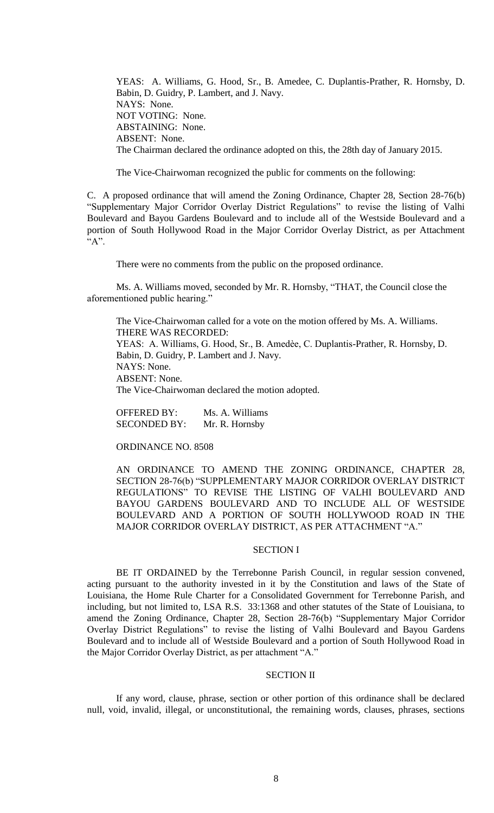YEAS: A. Williams, G. Hood, Sr., B. Amedee, C. Duplantis-Prather, R. Hornsby, D. Babin, D. Guidry, P. Lambert, and J. Navy. NAYS: None. NOT VOTING: None. ABSTAINING: None. ABSENT: None. The Chairman declared the ordinance adopted on this, the 28th day of January 2015.

The Vice-Chairwoman recognized the public for comments on the following:

C. A proposed ordinance that will amend the Zoning Ordinance, Chapter 28, Section 28-76(b) "Supplementary Major Corridor Overlay District Regulations" to revise the listing of Valhi Boulevard and Bayou Gardens Boulevard and to include all of the Westside Boulevard and a portion of South Hollywood Road in the Major Corridor Overlay District, as per Attachment  $A$ ".

There were no comments from the public on the proposed ordinance.

Ms. A. Williams moved, seconded by Mr. R. Hornsby, "THAT, the Council close the aforementioned public hearing."

The Vice-Chairwoman called for a vote on the motion offered by Ms. A. Williams. THERE WAS RECORDED: YEAS: A. Williams, G. Hood, Sr., B. Amedèe, C. Duplantis-Prather, R. Hornsby, D. Babin, D. Guidry, P. Lambert and J. Navy. NAYS: None. ABSENT: None. The Vice-Chairwoman declared the motion adopted.

OFFERED BY: Ms. A. Williams SECONDED BY: Mr. R. Hornsby

ORDINANCE NO. 8508

AN ORDINANCE TO AMEND THE ZONING ORDINANCE, CHAPTER 28, SECTION 28-76(b) "SUPPLEMENTARY MAJOR CORRIDOR OVERLAY DISTRICT REGULATIONS" TO REVISE THE LISTING OF VALHI BOULEVARD AND BAYOU GARDENS BOULEVARD AND TO INCLUDE ALL OF WESTSIDE BOULEVARD AND A PORTION OF SOUTH HOLLYWOOD ROAD IN THE MAJOR CORRIDOR OVERLAY DISTRICT, AS PER ATTACHMENT "A."

### SECTION I

BE IT ORDAINED by the Terrebonne Parish Council, in regular session convened, acting pursuant to the authority invested in it by the Constitution and laws of the State of Louisiana, the Home Rule Charter for a Consolidated Government for Terrebonne Parish, and including, but not limited to, LSA R.S. 33:1368 and other statutes of the State of Louisiana, to amend the Zoning Ordinance, Chapter 28, Section 28-76(b) "Supplementary Major Corridor Overlay District Regulations" to revise the listing of Valhi Boulevard and Bayou Gardens Boulevard and to include all of Westside Boulevard and a portion of South Hollywood Road in the Major Corridor Overlay District, as per attachment "A."

## SECTION II

If any word, clause, phrase, section or other portion of this ordinance shall be declared null, void, invalid, illegal, or unconstitutional, the remaining words, clauses, phrases, sections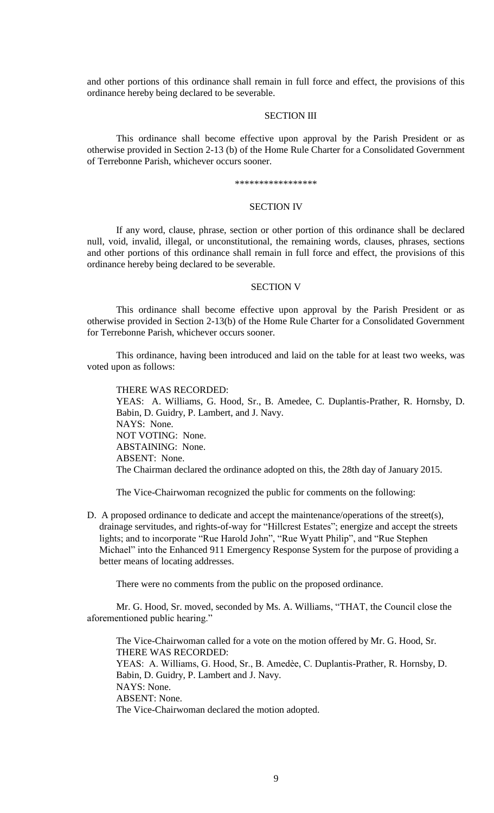and other portions of this ordinance shall remain in full force and effect, the provisions of this ordinance hereby being declared to be severable.

## SECTION III

This ordinance shall become effective upon approval by the Parish President or as otherwise provided in Section 2-13 (b) of the Home Rule Charter for a Consolidated Government of Terrebonne Parish, whichever occurs sooner.

#### \*\*\*\*\*\*\*\*\*\*\*\*\*\*\*\*\*

## SECTION IV

If any word, clause, phrase, section or other portion of this ordinance shall be declared null, void, invalid, illegal, or unconstitutional, the remaining words, clauses, phrases, sections and other portions of this ordinance shall remain in full force and effect, the provisions of this ordinance hereby being declared to be severable.

#### SECTION V

This ordinance shall become effective upon approval by the Parish President or as otherwise provided in Section 2-13(b) of the Home Rule Charter for a Consolidated Government for Terrebonne Parish, whichever occurs sooner.

This ordinance, having been introduced and laid on the table for at least two weeks, was voted upon as follows:

### THERE WAS RECORDED:

YEAS: A. Williams, G. Hood, Sr., B. Amedee, C. Duplantis-Prather, R. Hornsby, D. Babin, D. Guidry, P. Lambert, and J. Navy. NAYS: None. NOT VOTING: None. ABSTAINING: None. ABSENT: None. The Chairman declared the ordinance adopted on this, the 28th day of January 2015.

The Vice-Chairwoman recognized the public for comments on the following:

D. A proposed ordinance to dedicate and accept the maintenance/operations of the street(s), drainage servitudes, and rights-of-way for "Hillcrest Estates"; energize and accept the streets lights; and to incorporate "Rue Harold John", "Rue Wyatt Philip", and "Rue Stephen Michael" into the Enhanced 911 Emergency Response System for the purpose of providing a better means of locating addresses.

There were no comments from the public on the proposed ordinance.

Mr. G. Hood, Sr. moved, seconded by Ms. A. Williams, "THAT, the Council close the aforementioned public hearing."

The Vice-Chairwoman called for a vote on the motion offered by Mr. G. Hood, Sr. THERE WAS RECORDED: YEAS: A. Williams, G. Hood, Sr., B. Amedèe, C. Duplantis-Prather, R. Hornsby, D. Babin, D. Guidry, P. Lambert and J. Navy. NAYS: None. ABSENT: None. The Vice-Chairwoman declared the motion adopted.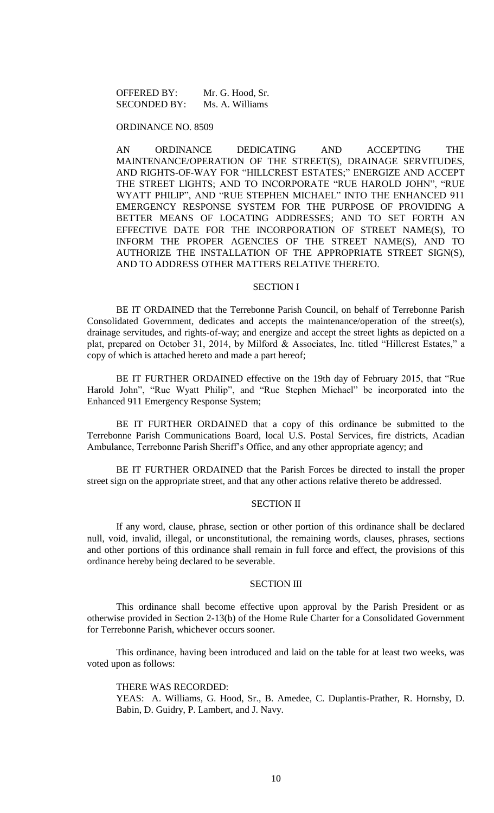OFFERED BY: Mr. G. Hood, Sr. SECONDED BY: Ms. A. Williams

## ORDINANCE NO. 8509

AN ORDINANCE DEDICATING AND ACCEPTING THE MAINTENANCE/OPERATION OF THE STREET(S), DRAINAGE SERVITUDES, AND RIGHTS-OF-WAY FOR "HILLCREST ESTATES;" ENERGIZE AND ACCEPT THE STREET LIGHTS; AND TO INCORPORATE "RUE HAROLD JOHN", "RUE WYATT PHILIP", AND "RUE STEPHEN MICHAEL" INTO THE ENHANCED 911 EMERGENCY RESPONSE SYSTEM FOR THE PURPOSE OF PROVIDING A BETTER MEANS OF LOCATING ADDRESSES; AND TO SET FORTH AN EFFECTIVE DATE FOR THE INCORPORATION OF STREET NAME(S), TO INFORM THE PROPER AGENCIES OF THE STREET NAME(S), AND TO AUTHORIZE THE INSTALLATION OF THE APPROPRIATE STREET SIGN(S), AND TO ADDRESS OTHER MATTERS RELATIVE THERETO.

#### SECTION I

BE IT ORDAINED that the Terrebonne Parish Council, on behalf of Terrebonne Parish Consolidated Government, dedicates and accepts the maintenance/operation of the street(s), drainage servitudes, and rights-of-way; and energize and accept the street lights as depicted on a plat, prepared on October 31, 2014, by Milford & Associates, Inc. titled "Hillcrest Estates," a copy of which is attached hereto and made a part hereof;

BE IT FURTHER ORDAINED effective on the 19th day of February 2015, that "Rue Harold John", "Rue Wyatt Philip", and "Rue Stephen Michael" be incorporated into the Enhanced 911 Emergency Response System;

BE IT FURTHER ORDAINED that a copy of this ordinance be submitted to the Terrebonne Parish Communications Board, local U.S. Postal Services, fire districts, Acadian Ambulance, Terrebonne Parish Sheriff's Office, and any other appropriate agency; and

BE IT FURTHER ORDAINED that the Parish Forces be directed to install the proper street sign on the appropriate street, and that any other actions relative thereto be addressed.

### SECTION II

If any word, clause, phrase, section or other portion of this ordinance shall be declared null, void, invalid, illegal, or unconstitutional, the remaining words, clauses, phrases, sections and other portions of this ordinance shall remain in full force and effect, the provisions of this ordinance hereby being declared to be severable.

### SECTION III

This ordinance shall become effective upon approval by the Parish President or as otherwise provided in Section 2-13(b) of the Home Rule Charter for a Consolidated Government for Terrebonne Parish, whichever occurs sooner.

This ordinance, having been introduced and laid on the table for at least two weeks, was voted upon as follows:

### THERE WAS RECORDED:

YEAS: A. Williams, G. Hood, Sr., B. Amedee, C. Duplantis-Prather, R. Hornsby, D. Babin, D. Guidry, P. Lambert, and J. Navy.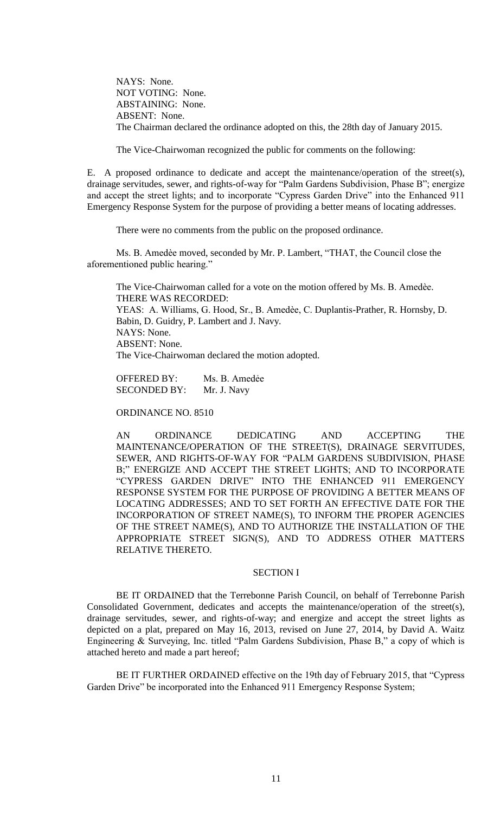NAYS: None. NOT VOTING: None. ABSTAINING: None. ABSENT: None. The Chairman declared the ordinance adopted on this, the 28th day of January 2015.

The Vice-Chairwoman recognized the public for comments on the following:

E. A proposed ordinance to dedicate and accept the maintenance/operation of the street(s), drainage servitudes, sewer, and rights-of-way for "Palm Gardens Subdivision, Phase B"; energize and accept the street lights; and to incorporate "Cypress Garden Drive" into the Enhanced 911 Emergency Response System for the purpose of providing a better means of locating addresses.

There were no comments from the public on the proposed ordinance.

Ms. B. Amedѐe moved, seconded by Mr. P. Lambert, "THAT, the Council close the aforementioned public hearing."

The Vice-Chairwoman called for a vote on the motion offered by Ms. B. Amedѐe. THERE WAS RECORDED: YEAS: A. Williams, G. Hood, Sr., B. Amedèe, C. Duplantis-Prather, R. Hornsby, D. Babin, D. Guidry, P. Lambert and J. Navy. NAYS: None. ABSENT: None. The Vice-Chairwoman declared the motion adopted.

OFFERED BY: Ms. B. Amedẻe SECONDED BY: Mr. J. Navy

ORDINANCE NO. 8510

AN ORDINANCE DEDICATING AND ACCEPTING THE MAINTENANCE/OPERATION OF THE STREET(S), DRAINAGE SERVITUDES, SEWER, AND RIGHTS-OF-WAY FOR "PALM GARDENS SUBDIVISION, PHASE B;" ENERGIZE AND ACCEPT THE STREET LIGHTS; AND TO INCORPORATE "CYPRESS GARDEN DRIVE" INTO THE ENHANCED 911 EMERGENCY RESPONSE SYSTEM FOR THE PURPOSE OF PROVIDING A BETTER MEANS OF LOCATING ADDRESSES; AND TO SET FORTH AN EFFECTIVE DATE FOR THE INCORPORATION OF STREET NAME(S), TO INFORM THE PROPER AGENCIES OF THE STREET NAME(S), AND TO AUTHORIZE THE INSTALLATION OF THE APPROPRIATE STREET SIGN(S), AND TO ADDRESS OTHER MATTERS RELATIVE THERETO.

#### SECTION I

BE IT ORDAINED that the Terrebonne Parish Council, on behalf of Terrebonne Parish Consolidated Government, dedicates and accepts the maintenance/operation of the street(s), drainage servitudes, sewer, and rights-of-way; and energize and accept the street lights as depicted on a plat, prepared on May 16, 2013, revised on June 27, 2014, by David A. Waitz Engineering & Surveying, Inc. titled "Palm Gardens Subdivision, Phase B," a copy of which is attached hereto and made a part hereof;

BE IT FURTHER ORDAINED effective on the 19th day of February 2015, that "Cypress Garden Drive" be incorporated into the Enhanced 911 Emergency Response System;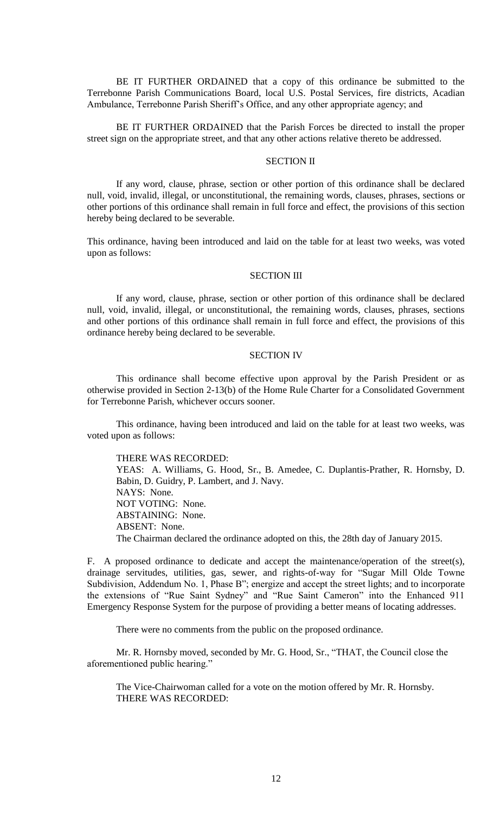BE IT FURTHER ORDAINED that a copy of this ordinance be submitted to the Terrebonne Parish Communications Board, local U.S. Postal Services, fire districts, Acadian Ambulance, Terrebonne Parish Sheriff's Office, and any other appropriate agency; and

BE IT FURTHER ORDAINED that the Parish Forces be directed to install the proper street sign on the appropriate street, and that any other actions relative thereto be addressed.

# SECTION II

If any word, clause, phrase, section or other portion of this ordinance shall be declared null, void, invalid, illegal, or unconstitutional, the remaining words, clauses, phrases, sections or other portions of this ordinance shall remain in full force and effect, the provisions of this section hereby being declared to be severable.

This ordinance, having been introduced and laid on the table for at least two weeks, was voted upon as follows:

#### SECTION III

If any word, clause, phrase, section or other portion of this ordinance shall be declared null, void, invalid, illegal, or unconstitutional, the remaining words, clauses, phrases, sections and other portions of this ordinance shall remain in full force and effect, the provisions of this ordinance hereby being declared to be severable.

## SECTION IV

This ordinance shall become effective upon approval by the Parish President or as otherwise provided in Section 2-13(b) of the Home Rule Charter for a Consolidated Government for Terrebonne Parish, whichever occurs sooner.

This ordinance, having been introduced and laid on the table for at least two weeks, was voted upon as follows:

THERE WAS RECORDED: YEAS: A. Williams, G. Hood, Sr., B. Amedee, C. Duplantis-Prather, R. Hornsby, D. Babin, D. Guidry, P. Lambert, and J. Navy. NAYS: None. NOT VOTING: None. ABSTAINING: None. ABSENT: None.

The Chairman declared the ordinance adopted on this, the 28th day of January 2015.

F. A proposed ordinance to dedicate and accept the maintenance/operation of the street(s), drainage servitudes, utilities, gas, sewer, and rights-of-way for "Sugar Mill Olde Towne Subdivision, Addendum No. 1, Phase B"; energize and accept the street lights; and to incorporate the extensions of "Rue Saint Sydney" and "Rue Saint Cameron" into the Enhanced 911 Emergency Response System for the purpose of providing a better means of locating addresses.

There were no comments from the public on the proposed ordinance.

Mr. R. Hornsby moved, seconded by Mr. G. Hood, Sr., "THAT, the Council close the aforementioned public hearing."

The Vice-Chairwoman called for a vote on the motion offered by Mr. R. Hornsby. THERE WAS RECORDED: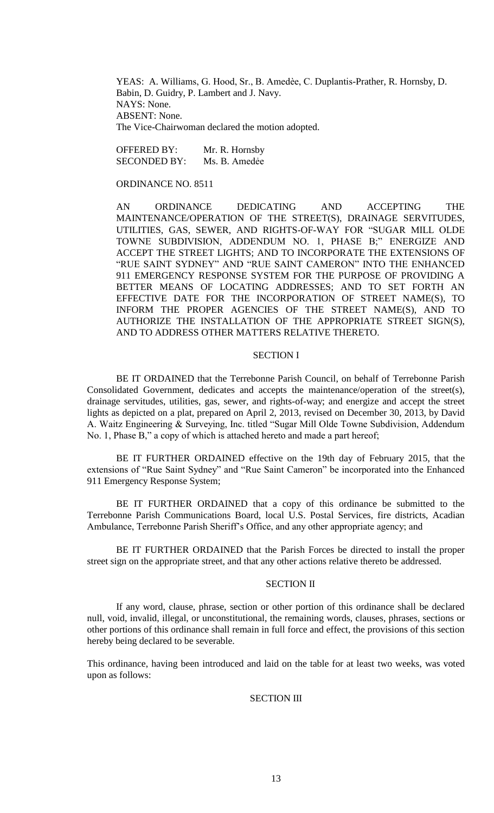YEAS: A. Williams, G. Hood, Sr., B. Amedèe, C. Duplantis-Prather, R. Hornsby, D. Babin, D. Guidry, P. Lambert and J. Navy. NAYS: None. ABSENT: None. The Vice-Chairwoman declared the motion adopted.

OFFERED BY: Mr. R. Hornsby SECONDED BY: Ms. B. Amedẻe

ORDINANCE NO. 8511

AN ORDINANCE DEDICATING AND ACCEPTING THE MAINTENANCE/OPERATION OF THE STREET(S), DRAINAGE SERVITUDES, UTILITIES, GAS, SEWER, AND RIGHTS-OF-WAY FOR "SUGAR MILL OLDE TOWNE SUBDIVISION, ADDENDUM NO. 1, PHASE B;" ENERGIZE AND ACCEPT THE STREET LIGHTS; AND TO INCORPORATE THE EXTENSIONS OF "RUE SAINT SYDNEY" AND "RUE SAINT CAMERON" INTO THE ENHANCED 911 EMERGENCY RESPONSE SYSTEM FOR THE PURPOSE OF PROVIDING A BETTER MEANS OF LOCATING ADDRESSES; AND TO SET FORTH AN EFFECTIVE DATE FOR THE INCORPORATION OF STREET NAME(S), TO INFORM THE PROPER AGENCIES OF THE STREET NAME(S), AND TO AUTHORIZE THE INSTALLATION OF THE APPROPRIATE STREET SIGN(S), AND TO ADDRESS OTHER MATTERS RELATIVE THERETO.

## SECTION I

BE IT ORDAINED that the Terrebonne Parish Council, on behalf of Terrebonne Parish Consolidated Government, dedicates and accepts the maintenance/operation of the street(s), drainage servitudes, utilities, gas, sewer, and rights-of-way; and energize and accept the street lights as depicted on a plat, prepared on April 2, 2013, revised on December 30, 2013, by David A. Waitz Engineering & Surveying, Inc. titled "Sugar Mill Olde Towne Subdivision, Addendum No. 1, Phase B," a copy of which is attached hereto and made a part hereof;

BE IT FURTHER ORDAINED effective on the 19th day of February 2015, that the extensions of "Rue Saint Sydney" and "Rue Saint Cameron" be incorporated into the Enhanced 911 Emergency Response System;

BE IT FURTHER ORDAINED that a copy of this ordinance be submitted to the Terrebonne Parish Communications Board, local U.S. Postal Services, fire districts, Acadian Ambulance, Terrebonne Parish Sheriff's Office, and any other appropriate agency; and

BE IT FURTHER ORDAINED that the Parish Forces be directed to install the proper street sign on the appropriate street, and that any other actions relative thereto be addressed.

# SECTION II

If any word, clause, phrase, section or other portion of this ordinance shall be declared null, void, invalid, illegal, or unconstitutional, the remaining words, clauses, phrases, sections or other portions of this ordinance shall remain in full force and effect, the provisions of this section hereby being declared to be severable.

This ordinance, having been introduced and laid on the table for at least two weeks, was voted upon as follows:

# SECTION III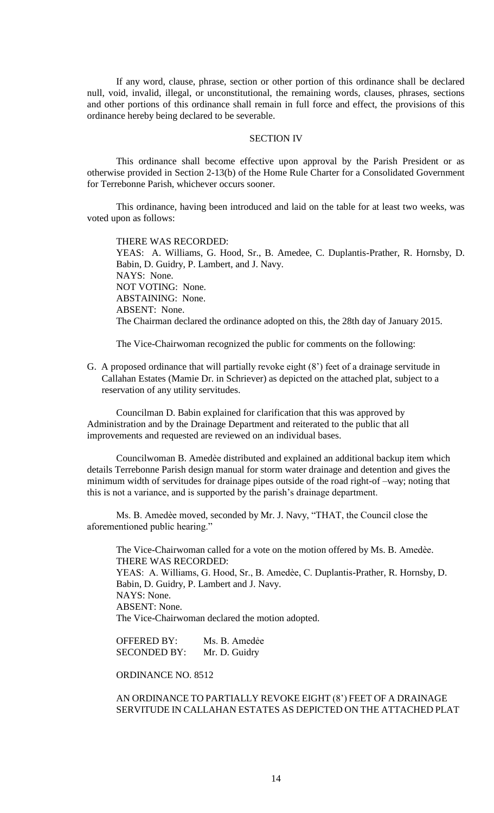If any word, clause, phrase, section or other portion of this ordinance shall be declared null, void, invalid, illegal, or unconstitutional, the remaining words, clauses, phrases, sections and other portions of this ordinance shall remain in full force and effect, the provisions of this ordinance hereby being declared to be severable.

### SECTION IV

This ordinance shall become effective upon approval by the Parish President or as otherwise provided in Section 2-13(b) of the Home Rule Charter for a Consolidated Government for Terrebonne Parish, whichever occurs sooner.

This ordinance, having been introduced and laid on the table for at least two weeks, was voted upon as follows:

THERE WAS RECORDED: YEAS: A. Williams, G. Hood, Sr., B. Amedee, C. Duplantis-Prather, R. Hornsby, D. Babin, D. Guidry, P. Lambert, and J. Navy. NAYS: None. NOT VOTING: None. ABSTAINING: None. ABSENT: None. The Chairman declared the ordinance adopted on this, the 28th day of January 2015.

The Vice-Chairwoman recognized the public for comments on the following:

G. A proposed ordinance that will partially revoke eight (8') feet of a drainage servitude in Callahan Estates (Mamie Dr. in Schriever) as depicted on the attached plat, subject to a reservation of any utility servitudes.

Councilman D. Babin explained for clarification that this was approved by Administration and by the Drainage Department and reiterated to the public that all improvements and requested are reviewed on an individual bases.

Councilwoman B. Amedѐe distributed and explained an additional backup item which details Terrebonne Parish design manual for storm water drainage and detention and gives the minimum width of servitudes for drainage pipes outside of the road right-of –way; noting that this is not a variance, and is supported by the parish's drainage department.

Ms. B. Amedѐe moved, seconded by Mr. J. Navy, "THAT, the Council close the aforementioned public hearing."

The Vice-Chairwoman called for a vote on the motion offered by Ms. B. Amedèe. THERE WAS RECORDED: YEAS: A. Williams, G. Hood, Sr., B. Amedèe, C. Duplantis-Prather, R. Hornsby, D. Babin, D. Guidry, P. Lambert and J. Navy. NAYS: None. ABSENT: None. The Vice-Chairwoman declared the motion adopted.

OFFERED BY: Ms. B. Amedẻe SECONDED BY: Mr. D. Guidry

ORDINANCE NO. 8512

AN ORDINANCE TO PARTIALLY REVOKE EIGHT (8') FEET OF A DRAINAGE SERVITUDE IN CALLAHAN ESTATES AS DEPICTED ON THE ATTACHED PLAT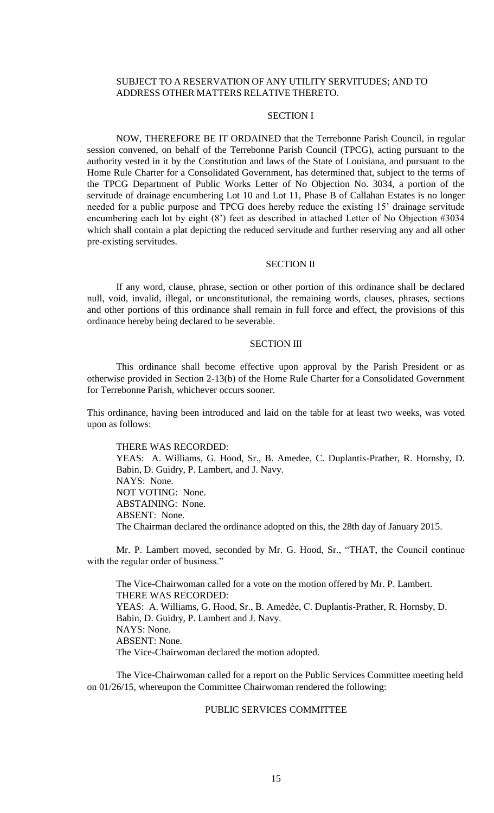# SUBJECT TO A RESERVATION OF ANY UTILITY SERVITUDES; AND TO ADDRESS OTHER MATTERS RELATIVE THERETO.

# SECTION I

NOW, THEREFORE BE IT ORDAINED that the Terrebonne Parish Council, in regular session convened, on behalf of the Terrebonne Parish Council (TPCG), acting pursuant to the authority vested in it by the Constitution and laws of the State of Louisiana, and pursuant to the Home Rule Charter for a Consolidated Government, has determined that, subject to the terms of the TPCG Department of Public Works Letter of No Objection No. 3034, a portion of the servitude of drainage encumbering Lot 10 and Lot 11, Phase B of Callahan Estates is no longer needed for a public purpose and TPCG does hereby reduce the existing 15' drainage servitude encumbering each lot by eight (8') feet as described in attached Letter of No Objection #3034 which shall contain a plat depicting the reduced servitude and further reserving any and all other pre-existing servitudes.

# SECTION II

If any word, clause, phrase, section or other portion of this ordinance shall be declared null, void, invalid, illegal, or unconstitutional, the remaining words, clauses, phrases, sections and other portions of this ordinance shall remain in full force and effect, the provisions of this ordinance hereby being declared to be severable.

#### SECTION III

This ordinance shall become effective upon approval by the Parish President or as otherwise provided in Section 2-13(b) of the Home Rule Charter for a Consolidated Government for Terrebonne Parish, whichever occurs sooner.

This ordinance, having been introduced and laid on the table for at least two weeks, was voted upon as follows:

### THERE WAS RECORDED:

YEAS: A. Williams, G. Hood, Sr., B. Amedee, C. Duplantis-Prather, R. Hornsby, D. Babin, D. Guidry, P. Lambert, and J. Navy. NAYS: None. NOT VOTING: None. ABSTAINING: None. ABSENT: None. The Chairman declared the ordinance adopted on this, the 28th day of January 2015.

Mr. P. Lambert moved, seconded by Mr. G. Hood, Sr., "THAT, the Council continue with the regular order of business."

The Vice-Chairwoman called for a vote on the motion offered by Mr. P. Lambert. THERE WAS RECORDED: YEAS: A. Williams, G. Hood, Sr., B. Amedèe, C. Duplantis-Prather, R. Hornsby, D. Babin, D. Guidry, P. Lambert and J. Navy. NAYS: None. ABSENT: None. The Vice-Chairwoman declared the motion adopted.

The Vice-Chairwoman called for a report on the Public Services Committee meeting held on 01/26/15, whereupon the Committee Chairwoman rendered the following:

## PUBLIC SERVICES COMMITTEE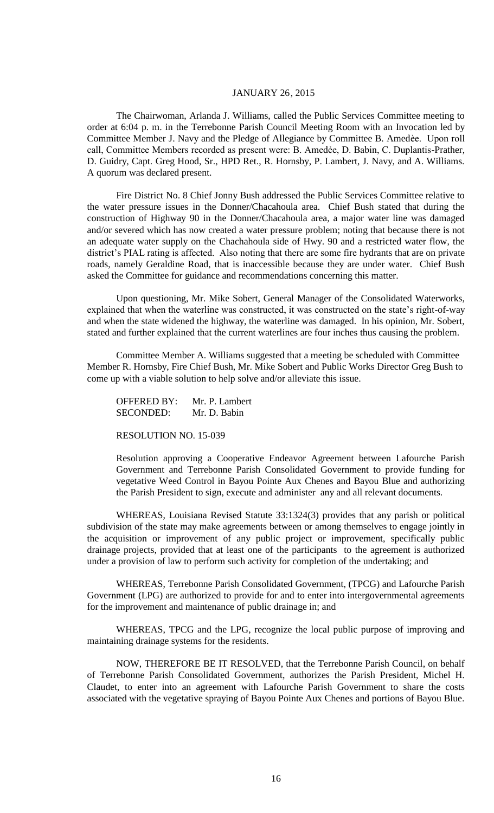# JANUARY 26, 2015

The Chairwoman, Arlanda J. Williams, called the Public Services Committee meeting to order at 6:04 p. m. in the Terrebonne Parish Council Meeting Room with an Invocation led by Committee Member J. Navy and the Pledge of Allegiance by Committee B. Amedѐe. Upon roll call, Committee Members recorded as present were: B. Amedẻe, D. Babin, C. Duplantis-Prather, D. Guidry, Capt. Greg Hood, Sr., HPD Ret., R. Hornsby, P. Lambert, J. Navy, and A. Williams. A quorum was declared present.

Fire District No. 8 Chief Jonny Bush addressed the Public Services Committee relative to the water pressure issues in the Donner/Chacahoula area. Chief Bush stated that during the construction of Highway 90 in the Donner/Chacahoula area, a major water line was damaged and/or severed which has now created a water pressure problem; noting that because there is not an adequate water supply on the Chachahoula side of Hwy. 90 and a restricted water flow, the district's PIAL rating is affected. Also noting that there are some fire hydrants that are on private roads, namely Geraldine Road, that is inaccessible because they are under water. Chief Bush asked the Committee for guidance and recommendations concerning this matter.

Upon questioning, Mr. Mike Sobert, General Manager of the Consolidated Waterworks, explained that when the waterline was constructed, it was constructed on the state's right-of-way and when the state widened the highway, the waterline was damaged. In his opinion, Mr. Sobert, stated and further explained that the current waterlines are four inches thus causing the problem.

Committee Member A. Williams suggested that a meeting be scheduled with Committee Member R. Hornsby, Fire Chief Bush, Mr. Mike Sobert and Public Works Director Greg Bush to come up with a viable solution to help solve and/or alleviate this issue.

OFFERED BY: Mr. P. Lambert SECONDED: Mr. D. Babin

RESOLUTION NO. 15-039

Resolution approving a Cooperative Endeavor Agreement between Lafourche Parish Government and Terrebonne Parish Consolidated Government to provide funding for vegetative Weed Control in Bayou Pointe Aux Chenes and Bayou Blue and authorizing the Parish President to sign, execute and administer any and all relevant documents.

WHEREAS, Louisiana Revised Statute 33:1324(3) provides that any parish or political subdivision of the state may make agreements between or among themselves to engage jointly in the acquisition or improvement of any public project or improvement, specifically public drainage projects, provided that at least one of the participants to the agreement is authorized under a provision of law to perform such activity for completion of the undertaking; and

WHEREAS, Terrebonne Parish Consolidated Government, (TPCG) and Lafourche Parish Government (LPG) are authorized to provide for and to enter into intergovernmental agreements for the improvement and maintenance of public drainage in; and

WHEREAS, TPCG and the LPG, recognize the local public purpose of improving and maintaining drainage systems for the residents.

NOW, THEREFORE BE IT RESOLVED, that the Terrebonne Parish Council, on behalf of Terrebonne Parish Consolidated Government, authorizes the Parish President, Michel H. Claudet, to enter into an agreement with Lafourche Parish Government to share the costs associated with the vegetative spraying of Bayou Pointe Aux Chenes and portions of Bayou Blue.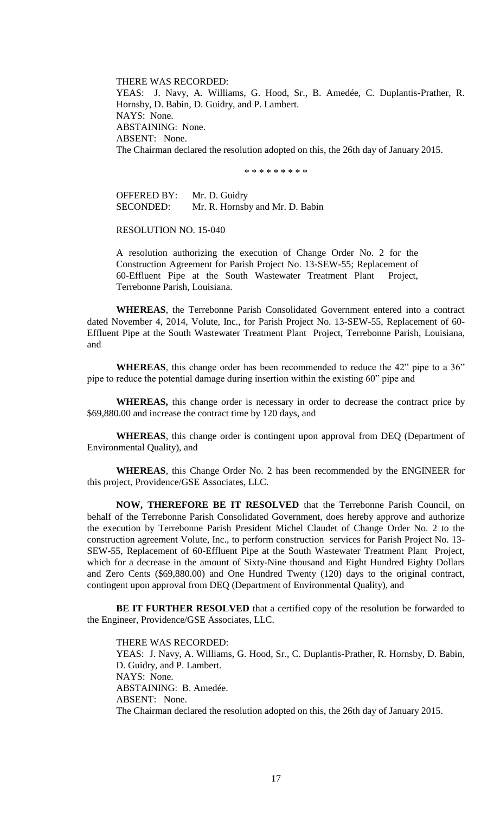THERE WAS RECORDED: YEAS: J. Navy, A. Williams, G. Hood, Sr., B. Amedée, C. Duplantis-Prather, R. Hornsby, D. Babin, D. Guidry, and P. Lambert. NAYS: None. ABSTAINING: None. ABSENT: None. The Chairman declared the resolution adopted on this, the 26th day of January 2015.

\* \* \* \* \* \* \* \* \*

OFFERED BY: Mr. D. Guidry SECONDED: Mr. R. Hornsby and Mr. D. Babin

RESOLUTION NO. 15-040

A resolution authorizing the execution of Change Order No. 2 for the Construction Agreement for Parish Project No. 13-SEW-55; Replacement of 60-Effluent Pipe at the South Wastewater Treatment Plant Project, Terrebonne Parish, Louisiana.

**WHEREAS**, the Terrebonne Parish Consolidated Government entered into a contract dated November 4, 2014, Volute, Inc., for Parish Project No. 13-SEW-55, Replacement of 60- Effluent Pipe at the South Wastewater Treatment Plant Project, Terrebonne Parish, Louisiana, and

**WHEREAS**, this change order has been recommended to reduce the 42" pipe to a 36" pipe to reduce the potential damage during insertion within the existing 60" pipe and

**WHEREAS,** this change order is necessary in order to decrease the contract price by \$69,880.00 and increase the contract time by 120 days, and

**WHEREAS**, this change order is contingent upon approval from DEQ (Department of Environmental Quality), and

**WHEREAS**, this Change Order No. 2 has been recommended by the ENGINEER for this project, Providence/GSE Associates, LLC.

**NOW, THEREFORE BE IT RESOLVED** that the Terrebonne Parish Council, on behalf of the Terrebonne Parish Consolidated Government, does hereby approve and authorize the execution by Terrebonne Parish President Michel Claudet of Change Order No. 2 to the construction agreement Volute, Inc., to perform construction services for Parish Project No. 13- SEW-55, Replacement of 60-Effluent Pipe at the South Wastewater Treatment Plant Project, which for a decrease in the amount of Sixty-Nine thousand and Eight Hundred Eighty Dollars and Zero Cents (\$69,880.00) and One Hundred Twenty (120) days to the original contract, contingent upon approval from DEQ (Department of Environmental Quality), and

**BE IT FURTHER RESOLVED** that a certified copy of the resolution be forwarded to the Engineer, Providence/GSE Associates, LLC.

THERE WAS RECORDED: YEAS: J. Navy, A. Williams, G. Hood, Sr., C. Duplantis-Prather, R. Hornsby, D. Babin, D. Guidry, and P. Lambert. NAYS: None. ABSTAINING: B. Amedée. ABSENT: None. The Chairman declared the resolution adopted on this, the 26th day of January 2015.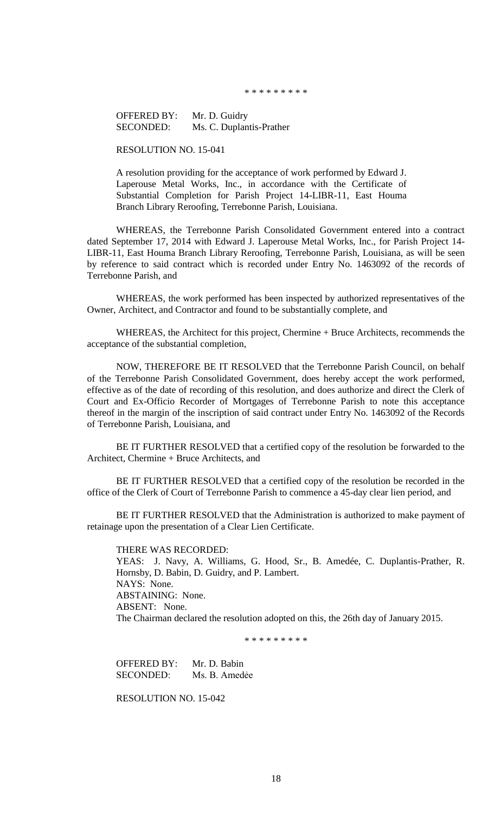\* \* \* \* \* \* \* \* \*

OFFERED BY: Mr. D. Guidry SECONDED: Ms. C. Duplantis-Prather

RESOLUTION NO. 15-041

A resolution providing for the acceptance of work performed by Edward J. Laperouse Metal Works, Inc., in accordance with the Certificate of Substantial Completion for Parish Project 14-LIBR-11, East Houma Branch Library Reroofing, Terrebonne Parish, Louisiana.

WHEREAS, the Terrebonne Parish Consolidated Government entered into a contract dated September 17, 2014 with Edward J. Laperouse Metal Works, Inc., for Parish Project 14- LIBR-11, East Houma Branch Library Reroofing, Terrebonne Parish, Louisiana, as will be seen by reference to said contract which is recorded under Entry No. 1463092 of the records of Terrebonne Parish, and

WHEREAS, the work performed has been inspected by authorized representatives of the Owner, Architect, and Contractor and found to be substantially complete, and

WHEREAS, the Architect for this project, Chermine + Bruce Architects, recommends the acceptance of the substantial completion,

NOW, THEREFORE BE IT RESOLVED that the Terrebonne Parish Council, on behalf of the Terrebonne Parish Consolidated Government, does hereby accept the work performed, effective as of the date of recording of this resolution, and does authorize and direct the Clerk of Court and Ex-Officio Recorder of Mortgages of Terrebonne Parish to note this acceptance thereof in the margin of the inscription of said contract under Entry No. 1463092 of the Records of Terrebonne Parish, Louisiana, and

BE IT FURTHER RESOLVED that a certified copy of the resolution be forwarded to the Architect, Chermine + Bruce Architects, and

BE IT FURTHER RESOLVED that a certified copy of the resolution be recorded in the office of the Clerk of Court of Terrebonne Parish to commence a 45-day clear lien period, and

BE IT FURTHER RESOLVED that the Administration is authorized to make payment of retainage upon the presentation of a Clear Lien Certificate.

THERE WAS RECORDED: YEAS: J. Navy, A. Williams, G. Hood, Sr., B. Amedée, C. Duplantis-Prather, R. Hornsby, D. Babin, D. Guidry, and P. Lambert. NAYS: None. ABSTAINING: None. ABSENT: None. The Chairman declared the resolution adopted on this, the 26th day of January 2015.

\* \* \* \* \* \* \* \* \*

OFFERED BY: Mr. D. Babin SECONDED: Ms. B. Amedẻe

RESOLUTION NO. 15-042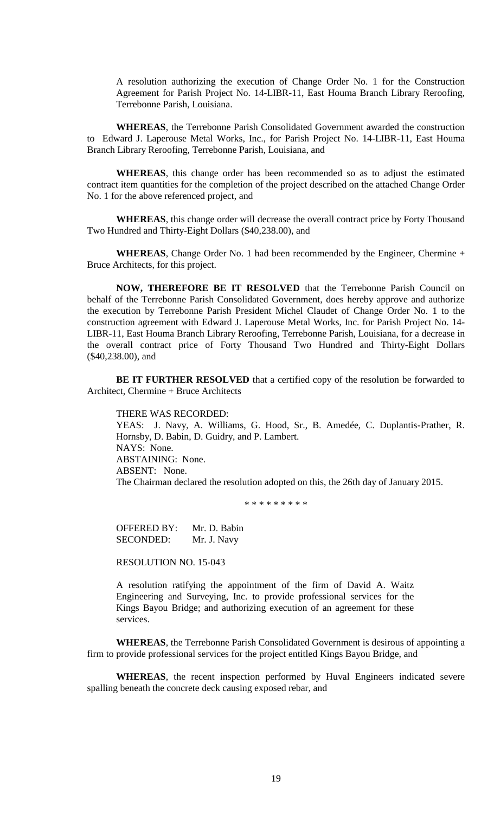A resolution authorizing the execution of Change Order No. 1 for the Construction Agreement for Parish Project No. 14-LIBR-11, East Houma Branch Library Reroofing, Terrebonne Parish, Louisiana.

**WHEREAS**, the Terrebonne Parish Consolidated Government awarded the construction to Edward J. Laperouse Metal Works, Inc., for Parish Project No. 14-LIBR-11, East Houma Branch Library Reroofing, Terrebonne Parish, Louisiana, and

**WHEREAS**, this change order has been recommended so as to adjust the estimated contract item quantities for the completion of the project described on the attached Change Order No. 1 for the above referenced project, and

**WHEREAS**, this change order will decrease the overall contract price by Forty Thousand Two Hundred and Thirty-Eight Dollars (\$40,238.00), and

**WHEREAS**, Change Order No. 1 had been recommended by the Engineer, Chermine + Bruce Architects, for this project.

**NOW, THEREFORE BE IT RESOLVED** that the Terrebonne Parish Council on behalf of the Terrebonne Parish Consolidated Government, does hereby approve and authorize the execution by Terrebonne Parish President Michel Claudet of Change Order No. 1 to the construction agreement with Edward J. Laperouse Metal Works, Inc. for Parish Project No. 14- LIBR-11, East Houma Branch Library Reroofing, Terrebonne Parish, Louisiana, for a decrease in the overall contract price of Forty Thousand Two Hundred and Thirty-Eight Dollars (\$40,238.00), and

**BE IT FURTHER RESOLVED** that a certified copy of the resolution be forwarded to Architect, Chermine + Bruce Architects

THERE WAS RECORDED: YEAS: J. Navy, A. Williams, G. Hood, Sr., B. Amedée, C. Duplantis-Prather, R. Hornsby, D. Babin, D. Guidry, and P. Lambert. NAYS: None. ABSTAINING: None. ABSENT: None. The Chairman declared the resolution adopted on this, the 26th day of January 2015.

\* \* \* \* \* \* \* \*

OFFERED BY: Mr. D. Babin SECONDED: Mr. J. Navy

RESOLUTION NO. 15-043

A resolution ratifying the appointment of the firm of David A. Waitz Engineering and Surveying, Inc. to provide professional services for the Kings Bayou Bridge; and authorizing execution of an agreement for these services.

**WHEREAS**, the Terrebonne Parish Consolidated Government is desirous of appointing a firm to provide professional services for the project entitled Kings Bayou Bridge, and

**WHEREAS**, the recent inspection performed by Huval Engineers indicated severe spalling beneath the concrete deck causing exposed rebar, and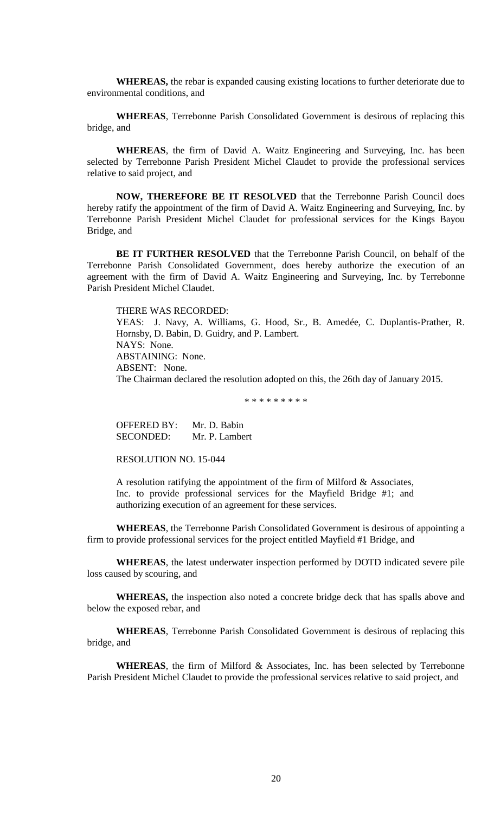**WHEREAS,** the rebar is expanded causing existing locations to further deteriorate due to environmental conditions, and

**WHEREAS**, Terrebonne Parish Consolidated Government is desirous of replacing this bridge, and

**WHEREAS**, the firm of David A. Waitz Engineering and Surveying, Inc. has been selected by Terrebonne Parish President Michel Claudet to provide the professional services relative to said project, and

**NOW, THEREFORE BE IT RESOLVED** that the Terrebonne Parish Council does hereby ratify the appointment of the firm of David A. Waitz Engineering and Surveying, Inc. by Terrebonne Parish President Michel Claudet for professional services for the Kings Bayou Bridge, and

**BE IT FURTHER RESOLVED** that the Terrebonne Parish Council, on behalf of the Terrebonne Parish Consolidated Government, does hereby authorize the execution of an agreement with the firm of David A. Waitz Engineering and Surveying, Inc. by Terrebonne Parish President Michel Claudet.

THERE WAS RECORDED:

YEAS: J. Navy, A. Williams, G. Hood, Sr., B. Amedée, C. Duplantis-Prather, R. Hornsby, D. Babin, D. Guidry, and P. Lambert. NAYS: None. ABSTAINING: None. ABSENT: None. The Chairman declared the resolution adopted on this, the 26th day of January 2015.

\* \* \* \* \* \* \* \* \*

OFFERED BY: Mr. D. Babin SECONDED: Mr. P. Lambert

RESOLUTION NO. 15-044

A resolution ratifying the appointment of the firm of Milford & Associates, Inc. to provide professional services for the Mayfield Bridge #1; and authorizing execution of an agreement for these services.

**WHEREAS**, the Terrebonne Parish Consolidated Government is desirous of appointing a firm to provide professional services for the project entitled Mayfield #1 Bridge, and

**WHEREAS**, the latest underwater inspection performed by DOTD indicated severe pile loss caused by scouring, and

**WHEREAS,** the inspection also noted a concrete bridge deck that has spalls above and below the exposed rebar, and

**WHEREAS**, Terrebonne Parish Consolidated Government is desirous of replacing this bridge, and

**WHEREAS**, the firm of Milford & Associates, Inc. has been selected by Terrebonne Parish President Michel Claudet to provide the professional services relative to said project, and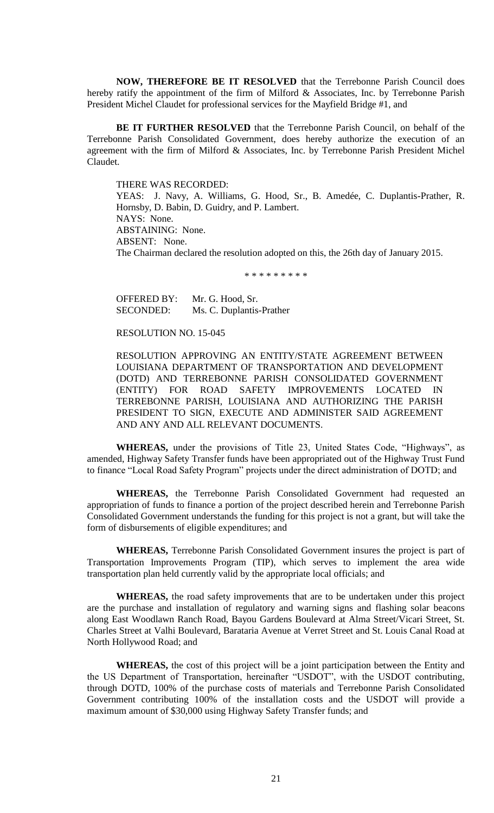**NOW, THEREFORE BE IT RESOLVED** that the Terrebonne Parish Council does hereby ratify the appointment of the firm of Milford & Associates, Inc. by Terrebonne Parish President Michel Claudet for professional services for the Mayfield Bridge #1, and

**BE IT FURTHER RESOLVED** that the Terrebonne Parish Council, on behalf of the Terrebonne Parish Consolidated Government, does hereby authorize the execution of an agreement with the firm of Milford & Associates, Inc. by Terrebonne Parish President Michel Claudet.

THERE WAS RECORDED: YEAS: J. Navy, A. Williams, G. Hood, Sr., B. Amedée, C. Duplantis-Prather, R. Hornsby, D. Babin, D. Guidry, and P. Lambert. NAYS: None. ABSTAINING: None. ABSENT: None. The Chairman declared the resolution adopted on this, the 26th day of January 2015.

\* \* \* \* \* \* \* \* \*

OFFERED BY: Mr. G. Hood, Sr. SECONDED: Ms. C. Duplantis-Prather

#### RESOLUTION NO. 15-045

RESOLUTION APPROVING AN ENTITY/STATE AGREEMENT BETWEEN LOUISIANA DEPARTMENT OF TRANSPORTATION AND DEVELOPMENT (DOTD) AND TERREBONNE PARISH CONSOLIDATED GOVERNMENT (ENTITY) FOR ROAD SAFETY IMPROVEMENTS LOCATED IN TERREBONNE PARISH, LOUISIANA AND AUTHORIZING THE PARISH PRESIDENT TO SIGN, EXECUTE AND ADMINISTER SAID AGREEMENT AND ANY AND ALL RELEVANT DOCUMENTS.

**WHEREAS,** under the provisions of Title 23, United States Code, "Highways", as amended, Highway Safety Transfer funds have been appropriated out of the Highway Trust Fund to finance "Local Road Safety Program" projects under the direct administration of DOTD; and

**WHEREAS,** the Terrebonne Parish Consolidated Government had requested an appropriation of funds to finance a portion of the project described herein and Terrebonne Parish Consolidated Government understands the funding for this project is not a grant, but will take the form of disbursements of eligible expenditures; and

**WHEREAS,** Terrebonne Parish Consolidated Government insures the project is part of Transportation Improvements Program (TIP), which serves to implement the area wide transportation plan held currently valid by the appropriate local officials; and

**WHEREAS,** the road safety improvements that are to be undertaken under this project are the purchase and installation of regulatory and warning signs and flashing solar beacons along East Woodlawn Ranch Road, Bayou Gardens Boulevard at Alma Street/Vicari Street, St. Charles Street at Valhi Boulevard, Barataria Avenue at Verret Street and St. Louis Canal Road at North Hollywood Road; and

**WHEREAS,** the cost of this project will be a joint participation between the Entity and the US Department of Transportation, hereinafter "USDOT", with the USDOT contributing, through DOTD, 100% of the purchase costs of materials and Terrebonne Parish Consolidated Government contributing 100% of the installation costs and the USDOT will provide a maximum amount of \$30,000 using Highway Safety Transfer funds; and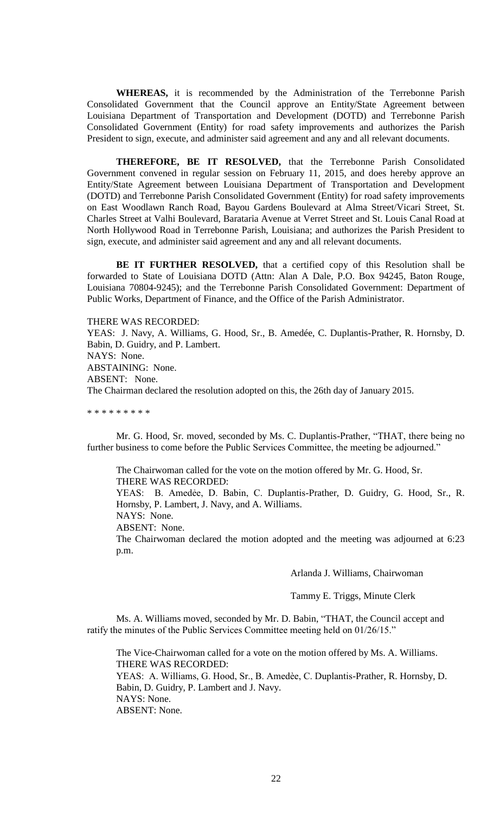**WHEREAS,** it is recommended by the Administration of the Terrebonne Parish Consolidated Government that the Council approve an Entity/State Agreement between Louisiana Department of Transportation and Development (DOTD) and Terrebonne Parish Consolidated Government (Entity) for road safety improvements and authorizes the Parish President to sign, execute, and administer said agreement and any and all relevant documents.

**THEREFORE, BE IT RESOLVED,** that the Terrebonne Parish Consolidated Government convened in regular session on February 11, 2015, and does hereby approve an Entity/State Agreement between Louisiana Department of Transportation and Development (DOTD) and Terrebonne Parish Consolidated Government (Entity) for road safety improvements on East Woodlawn Ranch Road, Bayou Gardens Boulevard at Alma Street/Vicari Street, St. Charles Street at Valhi Boulevard, Barataria Avenue at Verret Street and St. Louis Canal Road at North Hollywood Road in Terrebonne Parish, Louisiana; and authorizes the Parish President to sign, execute, and administer said agreement and any and all relevant documents.

**BE IT FURTHER RESOLVED,** that a certified copy of this Resolution shall be forwarded to State of Louisiana DOTD (Attn: Alan A Dale, P.O. Box 94245, Baton Rouge, Louisiana 70804-9245); and the Terrebonne Parish Consolidated Government: Department of Public Works, Department of Finance, and the Office of the Parish Administrator.

THERE WAS RECORDED:

YEAS: J. Navy, A. Williams, G. Hood, Sr., B. Amedée, C. Duplantis-Prather, R. Hornsby, D. Babin, D. Guidry, and P. Lambert. NAYS: None. ABSTAINING: None. ABSENT: None. The Chairman declared the resolution adopted on this, the 26th day of January 2015.

\* \* \* \* \* \* \* \* \*

Mr. G. Hood, Sr. moved, seconded by Ms. C. Duplantis-Prather, "THAT, there being no further business to come before the Public Services Committee, the meeting be adjourned."

The Chairwoman called for the vote on the motion offered by Mr. G. Hood, Sr. THERE WAS RECORDED:

YEAS: B. Amedẻe, D. Babin, C. Duplantis-Prather, D. Guidry, G. Hood, Sr., R. Hornsby, P. Lambert, J. Navy, and A. Williams.

NAYS: None.

ABSENT: None.

The Chairwoman declared the motion adopted and the meeting was adjourned at 6:23 p.m.

Arlanda J. Williams, Chairwoman

Tammy E. Triggs, Minute Clerk

Ms. A. Williams moved, seconded by Mr. D. Babin, "THAT, the Council accept and ratify the minutes of the Public Services Committee meeting held on 01/26/15."

The Vice-Chairwoman called for a vote on the motion offered by Ms. A. Williams. THERE WAS RECORDED: YEAS: A. Williams, G. Hood, Sr., B. Amedèe, C. Duplantis-Prather, R. Hornsby, D. Babin, D. Guidry, P. Lambert and J. Navy.

NAYS: None.

ABSENT: None.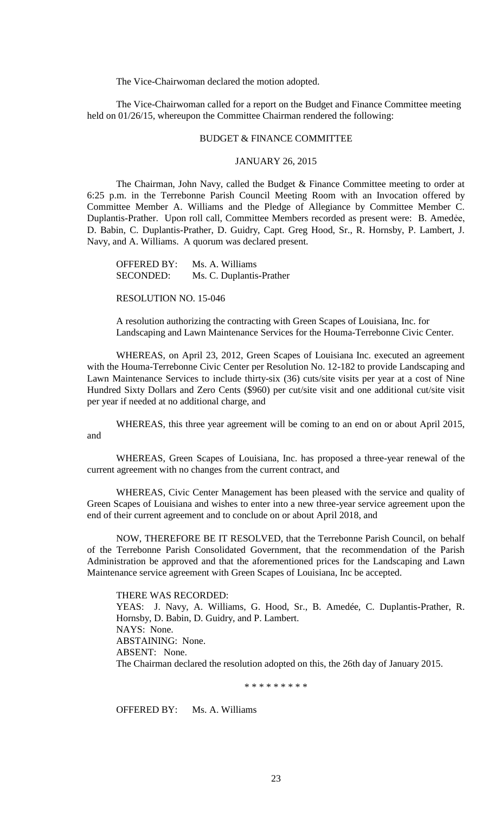The Vice-Chairwoman declared the motion adopted.

The Vice-Chairwoman called for a report on the Budget and Finance Committee meeting held on 01/26/15, whereupon the Committee Chairman rendered the following:

## BUDGET & FINANCE COMMITTEE

# JANUARY 26, 2015

The Chairman, John Navy, called the Budget & Finance Committee meeting to order at 6:25 p.m. in the Terrebonne Parish Council Meeting Room with an Invocation offered by Committee Member A. Williams and the Pledge of Allegiance by Committee Member C. Duplantis-Prather. Upon roll call, Committee Members recorded as present were: B. Amedẻe, D. Babin, C. Duplantis-Prather, D. Guidry, Capt. Greg Hood, Sr., R. Hornsby, P. Lambert, J. Navy, and A. Williams. A quorum was declared present.

OFFERED BY: Ms. A. Williams SECONDED: Ms. C. Duplantis-Prather

RESOLUTION NO. 15-046

A resolution authorizing the contracting with Green Scapes of Louisiana, Inc. for Landscaping and Lawn Maintenance Services for the Houma-Terrebonne Civic Center.

WHEREAS, on April 23, 2012, Green Scapes of Louisiana Inc. executed an agreement with the Houma-Terrebonne Civic Center per Resolution No. 12-182 to provide Landscaping and Lawn Maintenance Services to include thirty-six (36) cuts/site visits per year at a cost of Nine Hundred Sixty Dollars and Zero Cents (\$960) per cut/site visit and one additional cut/site visit per year if needed at no additional charge, and

WHEREAS, this three year agreement will be coming to an end on or about April 2015, and

WHEREAS, Green Scapes of Louisiana, Inc. has proposed a three-year renewal of the current agreement with no changes from the current contract, and

WHEREAS, Civic Center Management has been pleased with the service and quality of Green Scapes of Louisiana and wishes to enter into a new three-year service agreement upon the end of their current agreement and to conclude on or about April 2018, and

NOW, THEREFORE BE IT RESOLVED, that the Terrebonne Parish Council, on behalf of the Terrebonne Parish Consolidated Government, that the recommendation of the Parish Administration be approved and that the aforementioned prices for the Landscaping and Lawn Maintenance service agreement with Green Scapes of Louisiana, Inc be accepted.

THERE WAS RECORDED: YEAS: J. Navy, A. Williams, G. Hood, Sr., B. Amedée, C. Duplantis-Prather, R. Hornsby, D. Babin, D. Guidry, and P. Lambert. NAYS: None. ABSTAINING: None. ABSENT: None. The Chairman declared the resolution adopted on this, the 26th day of January 2015.

\* \* \* \* \* \* \* \*

OFFERED BY: Ms. A. Williams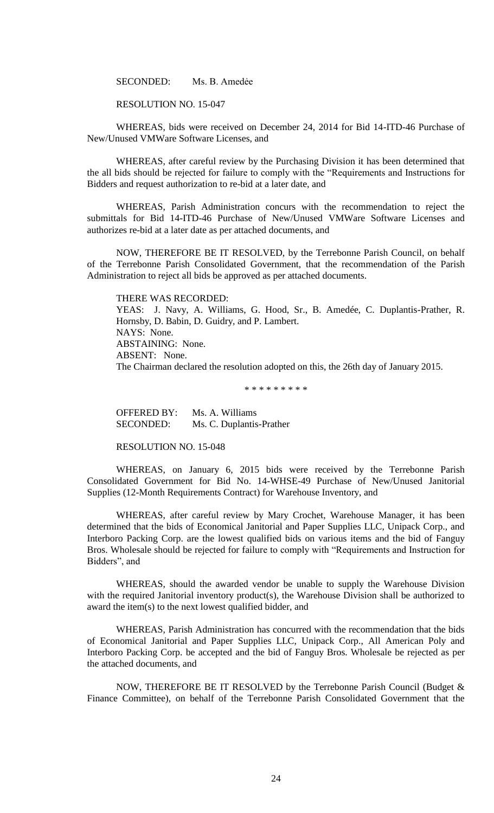SECONDED: Ms. B. Amedẻe

RESOLUTION NO. 15-047

WHEREAS, bids were received on December 24, 2014 for Bid 14-ITD-46 Purchase of New/Unused VMWare Software Licenses, and

WHEREAS, after careful review by the Purchasing Division it has been determined that the all bids should be rejected for failure to comply with the "Requirements and Instructions for Bidders and request authorization to re-bid at a later date, and

WHEREAS, Parish Administration concurs with the recommendation to reject the submittals for Bid 14-ITD-46 Purchase of New/Unused VMWare Software Licenses and authorizes re-bid at a later date as per attached documents, and

NOW, THEREFORE BE IT RESOLVED, by the Terrebonne Parish Council, on behalf of the Terrebonne Parish Consolidated Government, that the recommendation of the Parish Administration to reject all bids be approved as per attached documents.

THERE WAS RECORDED:

YEAS: J. Navy, A. Williams, G. Hood, Sr., B. Amedée, C. Duplantis-Prather, R. Hornsby, D. Babin, D. Guidry, and P. Lambert. NAYS: None. ABSTAINING: None. ABSENT: None. The Chairman declared the resolution adopted on this, the 26th day of January 2015.

\* \* \* \* \* \* \* \* \*

OFFERED BY: Ms. A. Williams SECONDED: Ms. C. Duplantis-Prather

RESOLUTION NO. 15-048

WHEREAS, on January 6, 2015 bids were received by the Terrebonne Parish Consolidated Government for Bid No. 14-WHSE-49 Purchase of New/Unused Janitorial Supplies (12-Month Requirements Contract) for Warehouse Inventory, and

WHEREAS, after careful review by Mary Crochet, Warehouse Manager, it has been determined that the bids of Economical Janitorial and Paper Supplies LLC, Unipack Corp., and Interboro Packing Corp. are the lowest qualified bids on various items and the bid of Fanguy Bros. Wholesale should be rejected for failure to comply with "Requirements and Instruction for Bidders", and

WHEREAS, should the awarded vendor be unable to supply the Warehouse Division with the required Janitorial inventory product(s), the Warehouse Division shall be authorized to award the item(s) to the next lowest qualified bidder, and

WHEREAS, Parish Administration has concurred with the recommendation that the bids of Economical Janitorial and Paper Supplies LLC, Unipack Corp., All American Poly and Interboro Packing Corp. be accepted and the bid of Fanguy Bros. Wholesale be rejected as per the attached documents, and

NOW, THEREFORE BE IT RESOLVED by the Terrebonne Parish Council (Budget & Finance Committee), on behalf of the Terrebonne Parish Consolidated Government that the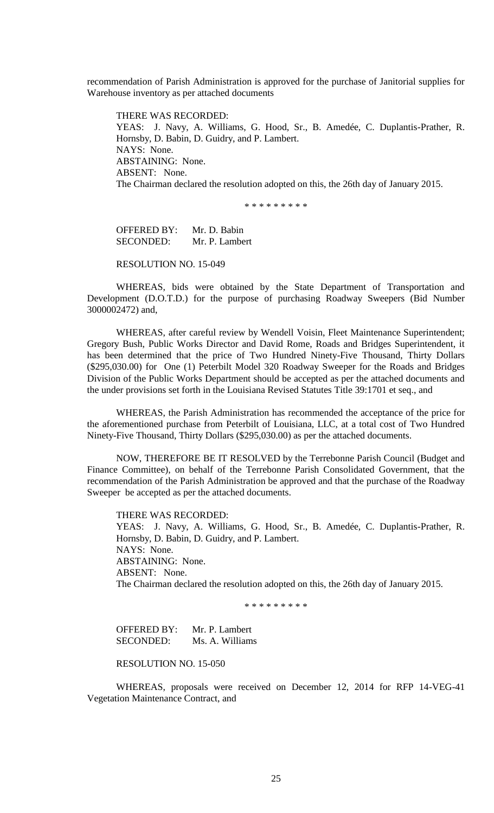recommendation of Parish Administration is approved for the purchase of Janitorial supplies for Warehouse inventory as per attached documents

THERE WAS RECORDED: YEAS: J. Navy, A. Williams, G. Hood, Sr., B. Amedée, C. Duplantis-Prather, R. Hornsby, D. Babin, D. Guidry, and P. Lambert. NAYS: None. ABSTAINING: None. ABSENT: None. The Chairman declared the resolution adopted on this, the 26th day of January 2015.

\* \* \* \* \* \* \* \*

OFFERED BY: Mr. D. Babin SECONDED: Mr. P. Lambert

RESOLUTION NO. 15-049

WHEREAS, bids were obtained by the State Department of Transportation and Development (D.O.T.D.) for the purpose of purchasing Roadway Sweepers (Bid Number 3000002472) and,

WHEREAS, after careful review by Wendell Voisin, Fleet Maintenance Superintendent; Gregory Bush, Public Works Director and David Rome, Roads and Bridges Superintendent, it has been determined that the price of Two Hundred Ninety-Five Thousand, Thirty Dollars (\$295,030.00) for One (1) Peterbilt Model 320 Roadway Sweeper for the Roads and Bridges Division of the Public Works Department should be accepted as per the attached documents and the under provisions set forth in the Louisiana Revised Statutes Title 39:1701 et seq., and

WHEREAS, the Parish Administration has recommended the acceptance of the price for the aforementioned purchase from Peterbilt of Louisiana, LLC, at a total cost of Two Hundred Ninety-Five Thousand, Thirty Dollars (\$295,030.00) as per the attached documents.

NOW, THEREFORE BE IT RESOLVED by the Terrebonne Parish Council (Budget and Finance Committee), on behalf of the Terrebonne Parish Consolidated Government, that the recommendation of the Parish Administration be approved and that the purchase of the Roadway Sweeper be accepted as per the attached documents.

THERE WAS RECORDED:

YEAS: J. Navy, A. Williams, G. Hood, Sr., B. Amedée, C. Duplantis-Prather, R. Hornsby, D. Babin, D. Guidry, and P. Lambert. NAYS: None. ABSTAINING: None. ABSENT: None. The Chairman declared the resolution adopted on this, the 26th day of January 2015.

\* \* \* \* \* \* \* \* \*

OFFERED BY: Mr. P. Lambert SECONDED: Ms. A. Williams

RESOLUTION NO. 15-050

WHEREAS, proposals were received on December 12, 2014 for RFP 14-VEG-41 Vegetation Maintenance Contract, and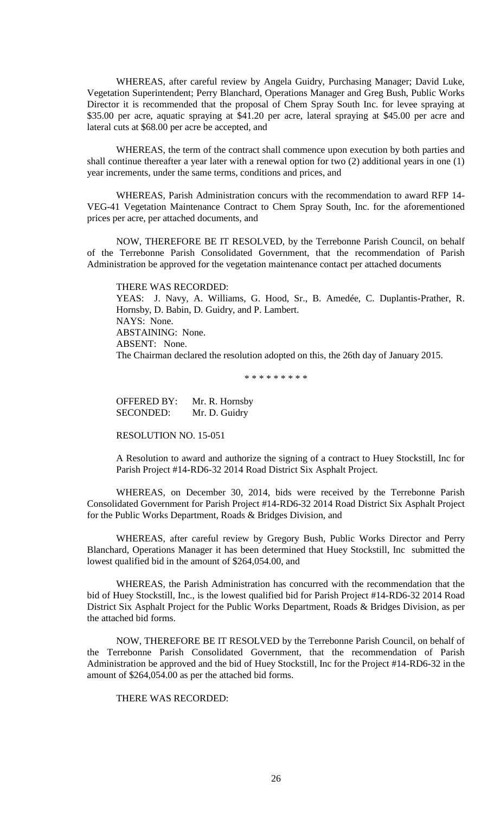WHEREAS, after careful review by Angela Guidry, Purchasing Manager; David Luke, Vegetation Superintendent; Perry Blanchard, Operations Manager and Greg Bush, Public Works Director it is recommended that the proposal of Chem Spray South Inc. for levee spraying at \$35.00 per acre, aquatic spraying at \$41.20 per acre, lateral spraying at \$45.00 per acre and lateral cuts at \$68.00 per acre be accepted, and

WHEREAS, the term of the contract shall commence upon execution by both parties and shall continue thereafter a year later with a renewal option for two (2) additional years in one (1) year increments, under the same terms, conditions and prices, and

WHEREAS, Parish Administration concurs with the recommendation to award RFP 14- VEG-41 Vegetation Maintenance Contract to Chem Spray South, Inc. for the aforementioned prices per acre, per attached documents, and

NOW, THEREFORE BE IT RESOLVED, by the Terrebonne Parish Council, on behalf of the Terrebonne Parish Consolidated Government, that the recommendation of Parish Administration be approved for the vegetation maintenance contact per attached documents

THERE WAS RECORDED: YEAS: J. Navy, A. Williams, G. Hood, Sr., B. Amedée, C. Duplantis-Prather, R. Hornsby, D. Babin, D. Guidry, and P. Lambert. NAYS: None. ABSTAINING: None. ABSENT: None. The Chairman declared the resolution adopted on this, the 26th day of January 2015.

\* \* \* \* \* \* \* \* \*

OFFERED BY: Mr. R. Hornsby SECONDED: Mr. D. Guidry

RESOLUTION NO. 15-051

A Resolution to award and authorize the signing of a contract to Huey Stockstill, Inc for Parish Project #14-RD6-32 2014 Road District Six Asphalt Project.

WHEREAS, on December 30, 2014, bids were received by the Terrebonne Parish Consolidated Government for Parish Project #14-RD6-32 2014 Road District Six Asphalt Project for the Public Works Department, Roads & Bridges Division, and

WHEREAS, after careful review by Gregory Bush, Public Works Director and Perry Blanchard, Operations Manager it has been determined that Huey Stockstill, Inc submitted the lowest qualified bid in the amount of \$264,054.00, and

WHEREAS, the Parish Administration has concurred with the recommendation that the bid of Huey Stockstill, Inc., is the lowest qualified bid for Parish Project #14-RD6-32 2014 Road District Six Asphalt Project for the Public Works Department, Roads & Bridges Division, as per the attached bid forms.

NOW, THEREFORE BE IT RESOLVED by the Terrebonne Parish Council, on behalf of the Terrebonne Parish Consolidated Government, that the recommendation of Parish Administration be approved and the bid of Huey Stockstill, Inc for the Project #14-RD6-32 in the amount of \$264,054.00 as per the attached bid forms.

THERE WAS RECORDED: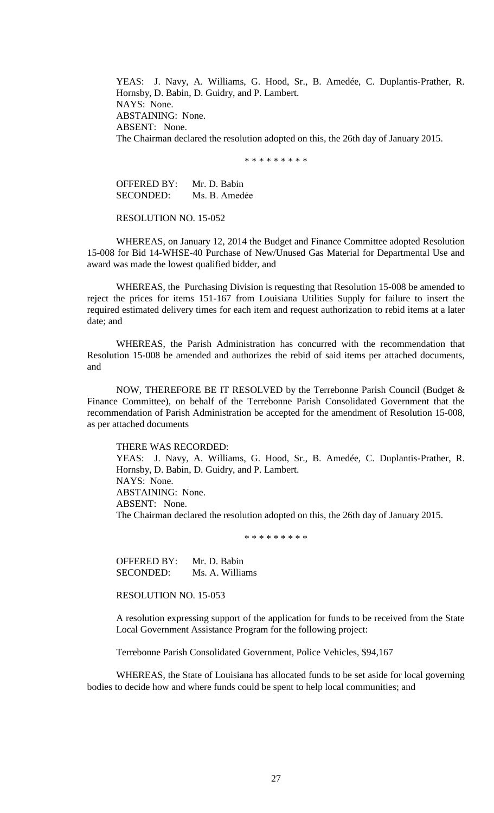YEAS: J. Navy, A. Williams, G. Hood, Sr., B. Amedée, C. Duplantis-Prather, R. Hornsby, D. Babin, D. Guidry, and P. Lambert. NAYS: None. ABSTAINING: None. ABSENT: None. The Chairman declared the resolution adopted on this, the 26th day of January 2015.

\* \* \* \* \* \* \* \* \*

OFFERED BY: Mr. D. Babin SECONDED: Ms. B. Amedée

RESOLUTION NO. 15-052

WHEREAS, on January 12, 2014 the Budget and Finance Committee adopted Resolution 15-008 for Bid 14-WHSE-40 Purchase of New/Unused Gas Material for Departmental Use and award was made the lowest qualified bidder, and

WHEREAS, the Purchasing Division is requesting that Resolution 15-008 be amended to reject the prices for items 151-167 from Louisiana Utilities Supply for failure to insert the required estimated delivery times for each item and request authorization to rebid items at a later date; and

WHEREAS, the Parish Administration has concurred with the recommendation that Resolution 15-008 be amended and authorizes the rebid of said items per attached documents, and

NOW, THEREFORE BE IT RESOLVED by the Terrebonne Parish Council (Budget & Finance Committee), on behalf of the Terrebonne Parish Consolidated Government that the recommendation of Parish Administration be accepted for the amendment of Resolution 15-008, as per attached documents

THERE WAS RECORDED:

YEAS: J. Navy, A. Williams, G. Hood, Sr., B. Amedée, C. Duplantis-Prather, R. Hornsby, D. Babin, D. Guidry, and P. Lambert. NAYS: None. ABSTAINING: None. ABSENT: None. The Chairman declared the resolution adopted on this, the 26th day of January 2015.

\* \* \* \* \* \* \* \* \*

OFFERED BY: Mr. D. Babin SECONDED: Ms. A. Williams

RESOLUTION NO. 15-053

A resolution expressing support of the application for funds to be received from the State Local Government Assistance Program for the following project:

Terrebonne Parish Consolidated Government, Police Vehicles, \$94,167

WHEREAS, the State of Louisiana has allocated funds to be set aside for local governing bodies to decide how and where funds could be spent to help local communities; and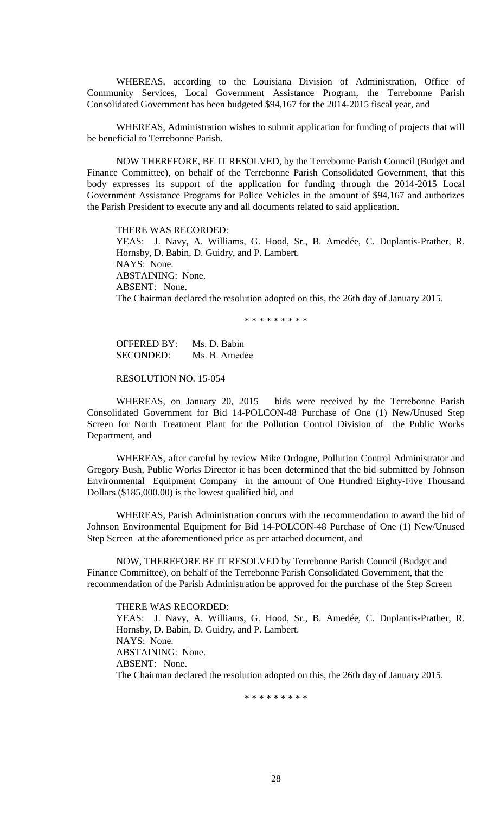WHEREAS, according to the Louisiana Division of Administration, Office of Community Services, Local Government Assistance Program, the Terrebonne Parish Consolidated Government has been budgeted \$94,167 for the 2014-2015 fiscal year, and

WHEREAS, Administration wishes to submit application for funding of projects that will be beneficial to Terrebonne Parish.

NOW THEREFORE, BE IT RESOLVED, by the Terrebonne Parish Council (Budget and Finance Committee), on behalf of the Terrebonne Parish Consolidated Government, that this body expresses its support of the application for funding through the 2014-2015 Local Government Assistance Programs for Police Vehicles in the amount of \$94,167 and authorizes the Parish President to execute any and all documents related to said application.

THERE WAS RECORDED: YEAS: J. Navy, A. Williams, G. Hood, Sr., B. Amedée, C. Duplantis-Prather, R. Hornsby, D. Babin, D. Guidry, and P. Lambert. NAYS: None. ABSTAINING: None. ABSENT: None. The Chairman declared the resolution adopted on this, the 26th day of January 2015.

\* \* \* \* \* \* \* \* \*

OFFERED BY: Ms. D. Babin SECONDED: Ms. B. Amedẻe

RESOLUTION NO. 15-054

WHEREAS, on January 20, 2015 bids were received by the Terrebonne Parish Consolidated Government for Bid 14-POLCON-48 Purchase of One (1) New/Unused Step Screen for North Treatment Plant for the Pollution Control Division of the Public Works Department, and

WHEREAS, after careful by review Mike Ordogne, Pollution Control Administrator and Gregory Bush, Public Works Director it has been determined that the bid submitted by Johnson Environmental Equipment Company in the amount of One Hundred Eighty-Five Thousand Dollars (\$185,000.00) is the lowest qualified bid, and

WHEREAS, Parish Administration concurs with the recommendation to award the bid of Johnson Environmental Equipment for Bid 14-POLCON-48 Purchase of One (1) New/Unused Step Screen at the aforementioned price as per attached document, and

NOW, THEREFORE BE IT RESOLVED by Terrebonne Parish Council (Budget and Finance Committee), on behalf of the Terrebonne Parish Consolidated Government, that the recommendation of the Parish Administration be approved for the purchase of the Step Screen

THERE WAS RECORDED: YEAS: J. Navy, A. Williams, G. Hood, Sr., B. Amedée, C. Duplantis-Prather, R. Hornsby, D. Babin, D. Guidry, and P. Lambert. NAYS: None. ABSTAINING: None. ABSENT: None. The Chairman declared the resolution adopted on this, the 26th day of January 2015.

\* \* \* \* \* \* \* \* \*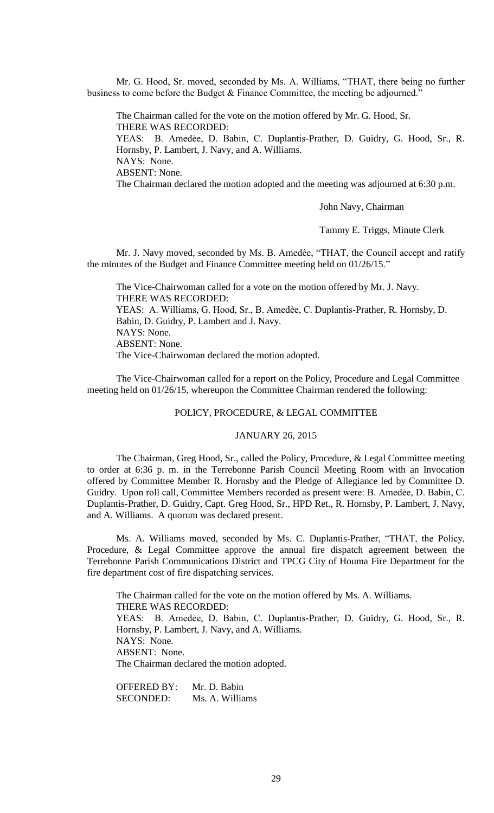Mr. G. Hood, Sr. moved, seconded by Ms. A. Williams, "THAT, there being no further business to come before the Budget & Finance Committee, the meeting be adjourned."

The Chairman called for the vote on the motion offered by Mr. G. Hood, Sr. THERE WAS RECORDED: YEAS: B. Amedẻe, D. Babin, C. Duplantis-Prather, D. Guidry, G. Hood, Sr., R. Hornsby, P. Lambert, J. Navy, and A. Williams. NAYS: None. ABSENT: None. The Chairman declared the motion adopted and the meeting was adjourned at 6:30 p.m.

John Navy, Chairman

Tammy E. Triggs, Minute Clerk

Mr. J. Navy moved, seconded by Ms. B. Amedѐe, "THAT, the Council accept and ratify the minutes of the Budget and Finance Committee meeting held on 01/26/15."

The Vice-Chairwoman called for a vote on the motion offered by Mr. J. Navy. THERE WAS RECORDED: YEAS: A. Williams, G. Hood, Sr., B. Amedèe, C. Duplantis-Prather, R. Hornsby, D. Babin, D. Guidry, P. Lambert and J. Navy. NAYS: None. ABSENT: None. The Vice-Chairwoman declared the motion adopted.

The Vice-Chairwoman called for a report on the Policy, Procedure and Legal Committee meeting held on 01/26/15, whereupon the Committee Chairman rendered the following:

## POLICY, PROCEDURE, & LEGAL COMMITTEE

#### JANUARY 26, 2015

The Chairman, Greg Hood, Sr., called the Policy, Procedure, & Legal Committee meeting to order at 6:36 p. m. in the Terrebonne Parish Council Meeting Room with an Invocation offered by Committee Member R. Hornsby and the Pledge of Allegiance led by Committee D. Guidry. Upon roll call, Committee Members recorded as present were: B. Amedẻe, D. Babin, C. Duplantis-Prather, D. Guidry, Capt. Greg Hood, Sr., HPD Ret., R. Hornsby, P. Lambert, J. Navy, and A. Williams. A quorum was declared present.

Ms. A. Williams moved, seconded by Ms. C. Duplantis-Prather, "THAT, the Policy, Procedure, & Legal Committee approve the annual fire dispatch agreement between the Terrebonne Parish Communications District and TPCG City of Houma Fire Department for the fire department cost of fire dispatching services.

The Chairman called for the vote on the motion offered by Ms. A. Williams. THERE WAS RECORDED: YEAS: B. Amedẻe, D. Babin, C. Duplantis-Prather, D. Guidry, G. Hood, Sr., R. Hornsby, P. Lambert, J. Navy, and A. Williams. NAYS: None. ABSENT: None. The Chairman declared the motion adopted.

OFFERED BY: Mr. D. Babin SECONDED: Ms. A. Williams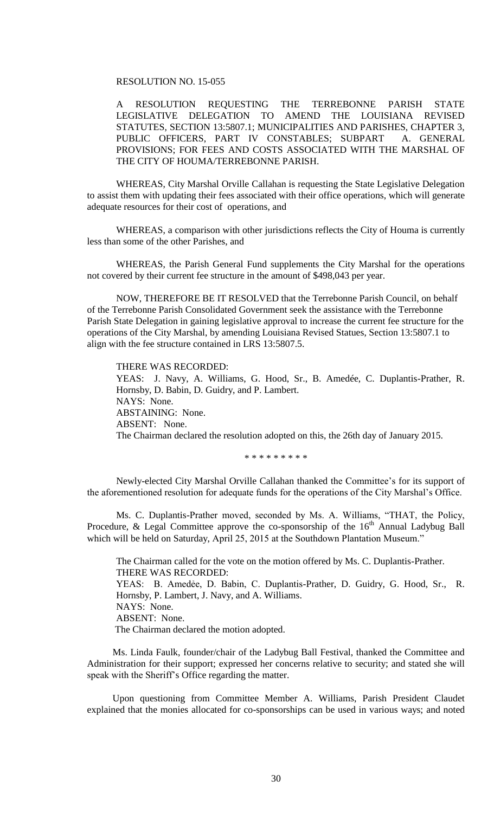### RESOLUTION NO. 15-055

A RESOLUTION REQUESTING THE TERREBONNE PARISH STATE LEGISLATIVE DELEGATION TO AMEND THE LOUISIANA REVISED STATUTES, SECTION 13:5807.1; MUNICIPALITIES AND PARISHES, CHAPTER 3, PUBLIC OFFICERS, PART IV CONSTABLES; SUBPART A. GENERAL PROVISIONS; FOR FEES AND COSTS ASSOCIATED WITH THE MARSHAL OF THE CITY OF HOUMA/TERREBONNE PARISH.

WHEREAS, City Marshal Orville Callahan is requesting the State Legislative Delegation to assist them with updating their fees associated with their office operations, which will generate adequate resources for their cost of operations, and

WHEREAS, a comparison with other jurisdictions reflects the City of Houma is currently less than some of the other Parishes, and

WHEREAS, the Parish General Fund supplements the City Marshal for the operations not covered by their current fee structure in the amount of \$498,043 per year.

NOW, THEREFORE BE IT RESOLVED that the Terrebonne Parish Council, on behalf of the Terrebonne Parish Consolidated Government seek the assistance with the Terrebonne Parish State Delegation in gaining legislative approval to increase the current fee structure for the operations of the City Marshal, by amending Louisiana Revised Statues, Section 13:5807.1 to align with the fee structure contained in LRS 13:5807.5.

THERE WAS RECORDED: YEAS: J. Navy, A. Williams, G. Hood, Sr., B. Amedée, C. Duplantis-Prather, R. Hornsby, D. Babin, D. Guidry, and P. Lambert. NAYS: None. ABSTAINING: None. ABSENT: None. The Chairman declared the resolution adopted on this, the 26th day of January 2015.

\* \* \* \* \* \* \* \* \*

Newly-elected City Marshal Orville Callahan thanked the Committee's for its support of the aforementioned resolution for adequate funds for the operations of the City Marshal's Office.

 Ms. C. Duplantis-Prather moved, seconded by Ms. A. Williams, "THAT, the Policy, Procedure, & Legal Committee approve the co-sponsorship of the  $16<sup>th</sup>$  Annual Ladybug Ball which will be held on Saturday, April 25, 2015 at the Southdown Plantation Museum."

The Chairman called for the vote on the motion offered by Ms. C. Duplantis-Prather. THERE WAS RECORDED: YEAS: B. Amedẻe, D. Babin, C. Duplantis-Prather, D. Guidry, G. Hood, Sr., R. Hornsby, P. Lambert, J. Navy, and A. Williams. NAYS: None. ABSENT: None. The Chairman declared the motion adopted.

Ms. Linda Faulk, founder/chair of the Ladybug Ball Festival, thanked the Committee and Administration for their support; expressed her concerns relative to security; and stated she will speak with the Sheriff's Office regarding the matter.

Upon questioning from Committee Member A. Williams, Parish President Claudet explained that the monies allocated for co-sponsorships can be used in various ways; and noted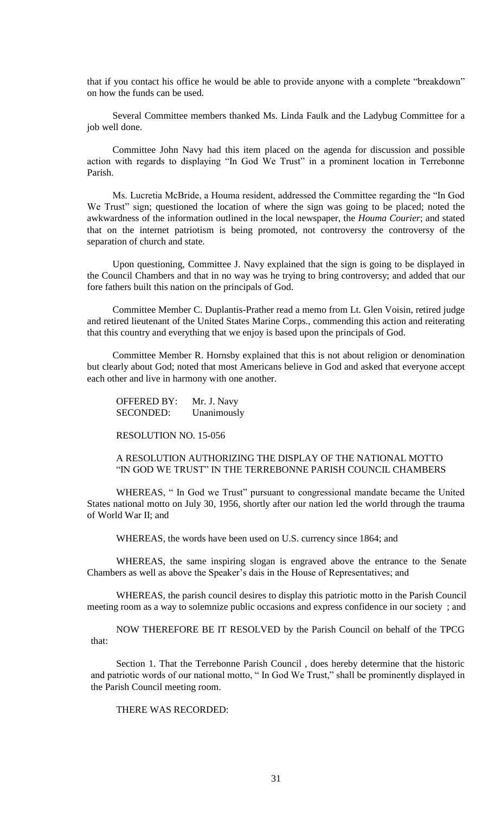that if you contact his office he would be able to provide anyone with a complete "breakdown" on how the funds can be used.

Several Committee members thanked Ms. Linda Faulk and the Ladybug Committee for a job well done.

Committee John Navy had this item placed on the agenda for discussion and possible action with regards to displaying "In God We Trust" in a prominent location in Terrebonne Parish.

Ms. Lucretia McBride, a Houma resident, addressed the Committee regarding the "In God We Trust" sign; questioned the location of where the sign was going to be placed; noted the awkwardness of the information outlined in the local newspaper, the *Houma Courier*; and stated that on the internet patriotism is being promoted, not controversy the controversy of the separation of church and state.

Upon questioning, Committee J. Navy explained that the sign is going to be displayed in the Council Chambers and that in no way was he trying to bring controversy; and added that our fore fathers built this nation on the principals of God.

Committee Member C. Duplantis-Prather read a memo from Lt. Glen Voisin, retired judge and retired lieutenant of the United States Marine Corps., commending this action and reiterating that this country and everything that we enjoy is based upon the principals of God.

Committee Member R. Hornsby explained that this is not about religion or denomination but clearly about God; noted that most Americans believe in God and asked that everyone accept each other and live in harmony with one another.

OFFERED BY: Mr. J. Navy SECONDED: Unanimously

RESOLUTION NO. 15-056

# A RESOLUTION AUTHORIZING THE DISPLAY OF THE NATIONAL MOTTO "IN GOD WE TRUST" IN THE TERREBONNE PARISH COUNCIL CHAMBERS

WHEREAS, " In God we Trust" pursuant to congressional mandate became the United States national motto on July 30, 1956, shortly after our nation led the world through the trauma of World War II; and

WHEREAS, the words have been used on U.S. currency since 1864; and

WHEREAS, the same inspiring slogan is engraved above the entrance to the Senate Chambers as well as above the Speaker's dais in the House of Representatives; and

WHEREAS, the parish council desires to display this patriotic motto in the Parish Council meeting room as a way to solemnize public occasions and express confidence in our society ; and

NOW THEREFORE BE IT RESOLVED by the Parish Council on behalf of the TPCG that:

Section 1. That the Terrebonne Parish Council , does hereby determine that the historic and patriotic words of our national motto, " In God We Trust," shall be prominently displayed in the Parish Council meeting room.

# THERE WAS RECORDED: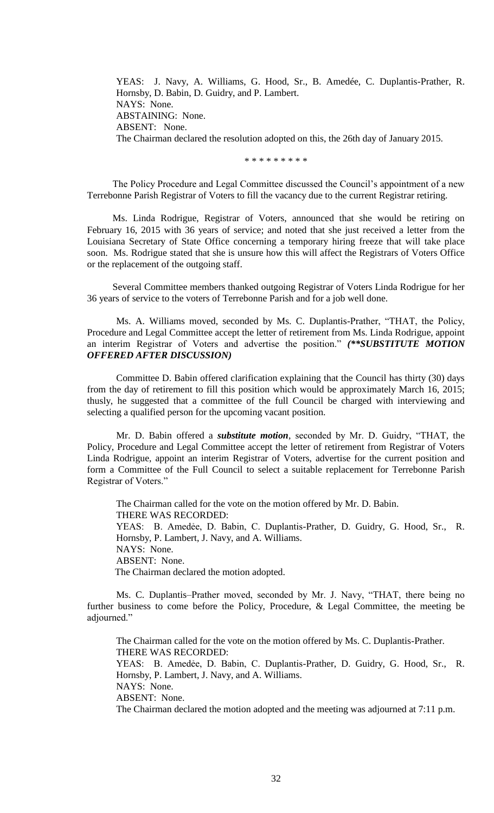YEAS: J. Navy, A. Williams, G. Hood, Sr., B. Amedée, C. Duplantis-Prather, R. Hornsby, D. Babin, D. Guidry, and P. Lambert. NAYS: None. ABSTAINING: None. ABSENT: None. The Chairman declared the resolution adopted on this, the 26th day of January 2015.

\* \* \* \* \* \* \* \* \*

The Policy Procedure and Legal Committee discussed the Council's appointment of a new Terrebonne Parish Registrar of Voters to fill the vacancy due to the current Registrar retiring.

Ms. Linda Rodrigue, Registrar of Voters, announced that she would be retiring on February 16, 2015 with 36 years of service; and noted that she just received a letter from the Louisiana Secretary of State Office concerning a temporary hiring freeze that will take place soon. Ms. Rodrigue stated that she is unsure how this will affect the Registrars of Voters Office or the replacement of the outgoing staff.

Several Committee members thanked outgoing Registrar of Voters Linda Rodrigue for her 36 years of service to the voters of Terrebonne Parish and for a job well done.

Ms. A. Williams moved, seconded by Ms. C. Duplantis-Prather, "THAT, the Policy, Procedure and Legal Committee accept the letter of retirement from Ms. Linda Rodrigue, appoint an interim Registrar of Voters and advertise the position." *(\*\*SUBSTITUTE MOTION OFFERED AFTER DISCUSSION)*

Committee D. Babin offered clarification explaining that the Council has thirty (30) days from the day of retirement to fill this position which would be approximately March 16, 2015; thusly, he suggested that a committee of the full Council be charged with interviewing and selecting a qualified person for the upcoming vacant position.

Mr. D. Babin offered a *substitute motion*, seconded by Mr. D. Guidry, "THAT, the Policy, Procedure and Legal Committee accept the letter of retirement from Registrar of Voters Linda Rodrigue, appoint an interim Registrar of Voters, advertise for the current position and form a Committee of the Full Council to select a suitable replacement for Terrebonne Parish Registrar of Voters."

The Chairman called for the vote on the motion offered by Mr. D. Babin. THERE WAS RECORDED: YEAS: B. Amedẻe, D. Babin, C. Duplantis-Prather, D. Guidry, G. Hood, Sr., R. Hornsby, P. Lambert, J. Navy, and A. Williams. NAYS: None. ABSENT: None. The Chairman declared the motion adopted.

Ms. C. Duplantis–Prather moved, seconded by Mr. J. Navy, "THAT, there being no further business to come before the Policy, Procedure, & Legal Committee, the meeting be adjourned."

The Chairman called for the vote on the motion offered by Ms. C. Duplantis-Prather. THERE WAS RECORDED: YEAS: B. Amedẻe, D. Babin, C. Duplantis-Prather, D. Guidry, G. Hood, Sr., R. Hornsby, P. Lambert, J. Navy, and A. Williams. NAYS: None. ABSENT: None.

The Chairman declared the motion adopted and the meeting was adjourned at 7:11 p.m.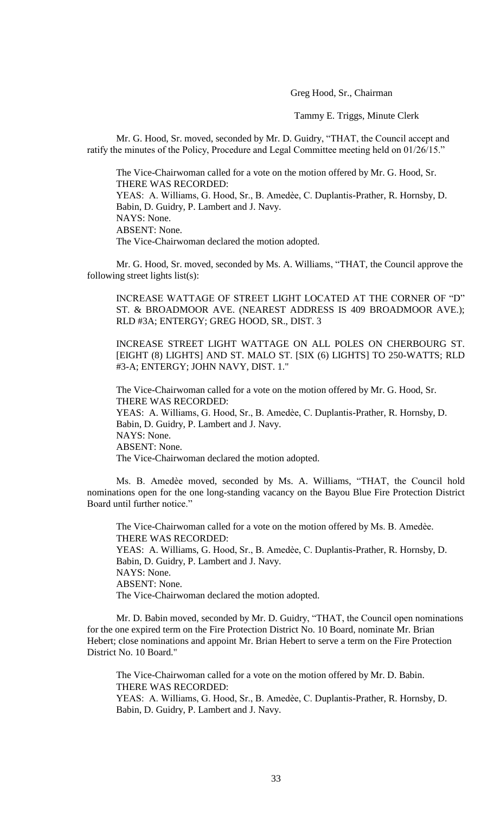Greg Hood, Sr., Chairman

Tammy E. Triggs, Minute Clerk

Mr. G. Hood, Sr. moved, seconded by Mr. D. Guidry, "THAT, the Council accept and ratify the minutes of the Policy, Procedure and Legal Committee meeting held on 01/26/15."

The Vice-Chairwoman called for a vote on the motion offered by Mr. G. Hood, Sr. THERE WAS RECORDED: YEAS: A. Williams, G. Hood, Sr., B. Amedèe, C. Duplantis-Prather, R. Hornsby, D. Babin, D. Guidry, P. Lambert and J. Navy. NAYS: None. ABSENT: None. The Vice-Chairwoman declared the motion adopted.

Mr. G. Hood, Sr. moved, seconded by Ms. A. Williams, "THAT, the Council approve the following street lights list(s):

INCREASE WATTAGE OF STREET LIGHT LOCATED AT THE CORNER OF "D" ST. & BROADMOOR AVE. (NEAREST ADDRESS IS 409 BROADMOOR AVE.); RLD #3A; ENTERGY; GREG HOOD, SR., DIST. 3

INCREASE STREET LIGHT WATTAGE ON ALL POLES ON CHERBOURG ST. [EIGHT (8) LIGHTS] AND ST. MALO ST. [SIX (6) LIGHTS] TO 250-WATTS; RLD #3-A; ENTERGY; JOHN NAVY, DIST. 1."

The Vice-Chairwoman called for a vote on the motion offered by Mr. G. Hood, Sr. THERE WAS RECORDED: YEAS: A. Williams, G. Hood, Sr., B. Amedèe, C. Duplantis-Prather, R. Hornsby, D. Babin, D. Guidry, P. Lambert and J. Navy. NAYS: None. ABSENT: None. The Vice-Chairwoman declared the motion adopted.

Ms. B. Amedèe moved, seconded by Ms. A. Williams, "THAT, the Council hold nominations open for the one long-standing vacancy on the Bayou Blue Fire Protection District Board until further notice."

The Vice-Chairwoman called for a vote on the motion offered by Ms. B. Amedèe. THERE WAS RECORDED: YEAS: A. Williams, G. Hood, Sr., B. Amedèe, C. Duplantis-Prather, R. Hornsby, D. Babin, D. Guidry, P. Lambert and J. Navy. NAYS: None. ABSENT: None. The Vice-Chairwoman declared the motion adopted.

Mr. D. Babin moved, seconded by Mr. D. Guidry, "THAT, the Council open nominations for the one expired term on the Fire Protection District No. 10 Board, nominate Mr. Brian Hebert; close nominations and appoint Mr. Brian Hebert to serve a term on the Fire Protection District No. 10 Board."

The Vice-Chairwoman called for a vote on the motion offered by Mr. D. Babin. THERE WAS RECORDED: YEAS: A. Williams, G. Hood, Sr., B. Amedèe, C. Duplantis-Prather, R. Hornsby, D. Babin, D. Guidry, P. Lambert and J. Navy.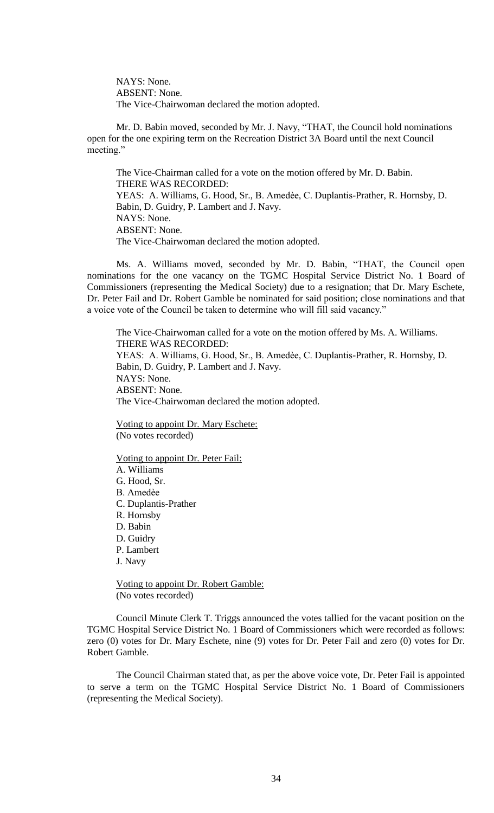NAYS: None. ABSENT: None. The Vice-Chairwoman declared the motion adopted.

Mr. D. Babin moved, seconded by Mr. J. Navy, "THAT, the Council hold nominations open for the one expiring term on the Recreation District 3A Board until the next Council meeting."

The Vice-Chairman called for a vote on the motion offered by Mr. D. Babin. THERE WAS RECORDED: YEAS: A. Williams, G. Hood, Sr., B. Amedèe, C. Duplantis-Prather, R. Hornsby, D. Babin, D. Guidry, P. Lambert and J. Navy. NAYS: None. ABSENT: None. The Vice-Chairwoman declared the motion adopted.

Ms. A. Williams moved, seconded by Mr. D. Babin, "THAT, the Council open nominations for the one vacancy on the TGMC Hospital Service District No. 1 Board of Commissioners (representing the Medical Society) due to a resignation; that Dr. Mary Eschete, Dr. Peter Fail and Dr. Robert Gamble be nominated for said position; close nominations and that a voice vote of the Council be taken to determine who will fill said vacancy."

The Vice-Chairwoman called for a vote on the motion offered by Ms. A. Williams. THERE WAS RECORDED: YEAS: A. Williams, G. Hood, Sr., B. Amedèe, C. Duplantis-Prather, R. Hornsby, D. Babin, D. Guidry, P. Lambert and J. Navy. NAYS: None. ABSENT: None. The Vice-Chairwoman declared the motion adopted.

Voting to appoint Dr. Mary Eschete: (No votes recorded)

Voting to appoint Dr. Peter Fail: A. Williams G. Hood, Sr. B. Amedѐe C. Duplantis-Prather R. Hornsby D. Babin D. Guidry P. Lambert J. Navy

Voting to appoint Dr. Robert Gamble: (No votes recorded)

Council Minute Clerk T. Triggs announced the votes tallied for the vacant position on the TGMC Hospital Service District No. 1 Board of Commissioners which were recorded as follows: zero (0) votes for Dr. Mary Eschete, nine (9) votes for Dr. Peter Fail and zero (0) votes for Dr. Robert Gamble.

The Council Chairman stated that, as per the above voice vote, Dr. Peter Fail is appointed to serve a term on the TGMC Hospital Service District No. 1 Board of Commissioners (representing the Medical Society).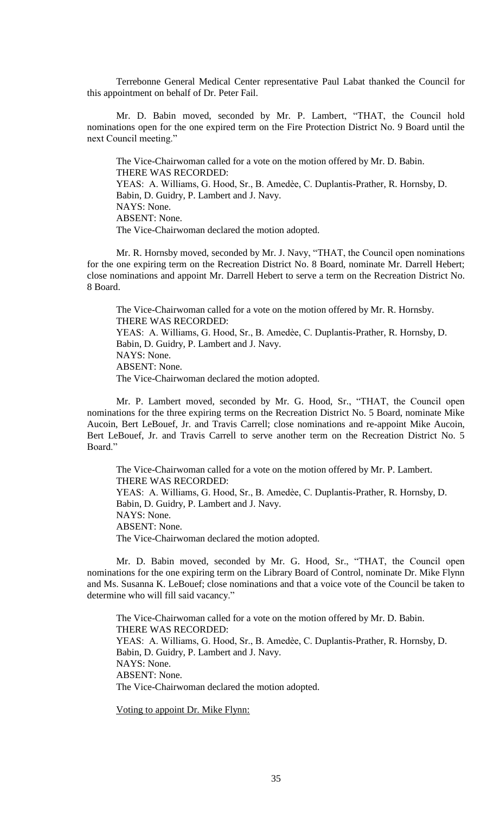Terrebonne General Medical Center representative Paul Labat thanked the Council for this appointment on behalf of Dr. Peter Fail.

Mr. D. Babin moved, seconded by Mr. P. Lambert, "THAT, the Council hold nominations open for the one expired term on the Fire Protection District No. 9 Board until the next Council meeting."

The Vice-Chairwoman called for a vote on the motion offered by Mr. D. Babin. THERE WAS RECORDED: YEAS: A. Williams, G. Hood, Sr., B. Amedèe, C. Duplantis-Prather, R. Hornsby, D. Babin, D. Guidry, P. Lambert and J. Navy. NAYS: None. ABSENT: None. The Vice-Chairwoman declared the motion adopted.

Mr. R. Hornsby moved, seconded by Mr. J. Navy, "THAT, the Council open nominations for the one expiring term on the Recreation District No. 8 Board, nominate Mr. Darrell Hebert; close nominations and appoint Mr. Darrell Hebert to serve a term on the Recreation District No. 8 Board.

The Vice-Chairwoman called for a vote on the motion offered by Mr. R. Hornsby. THERE WAS RECORDED: YEAS: A. Williams, G. Hood, Sr., B. Amedèe, C. Duplantis-Prather, R. Hornsby, D. Babin, D. Guidry, P. Lambert and J. Navy. NAYS: None. ABSENT: None. The Vice-Chairwoman declared the motion adopted.

Mr. P. Lambert moved, seconded by Mr. G. Hood, Sr., "THAT, the Council open nominations for the three expiring terms on the Recreation District No. 5 Board, nominate Mike Aucoin, Bert LeBouef, Jr. and Travis Carrell; close nominations and re-appoint Mike Aucoin, Bert LeBouef, Jr. and Travis Carrell to serve another term on the Recreation District No. 5 Board<sup>"</sup>

The Vice-Chairwoman called for a vote on the motion offered by Mr. P. Lambert. THERE WAS RECORDED: YEAS: A. Williams, G. Hood, Sr., B. Amedèe, C. Duplantis-Prather, R. Hornsby, D. Babin, D. Guidry, P. Lambert and J. Navy. NAYS: None. ABSENT: None. The Vice-Chairwoman declared the motion adopted.

Mr. D. Babin moved, seconded by Mr. G. Hood, Sr., "THAT, the Council open nominations for the one expiring term on the Library Board of Control, nominate Dr. Mike Flynn and Ms. Susanna K. LeBouef; close nominations and that a voice vote of the Council be taken to determine who will fill said vacancy."

The Vice-Chairwoman called for a vote on the motion offered by Mr. D. Babin. THERE WAS RECORDED: YEAS: A. Williams, G. Hood, Sr., B. Amedèe, C. Duplantis-Prather, R. Hornsby, D. Babin, D. Guidry, P. Lambert and J. Navy. NAYS: None. ABSENT: None. The Vice-Chairwoman declared the motion adopted.

Voting to appoint Dr. Mike Flynn: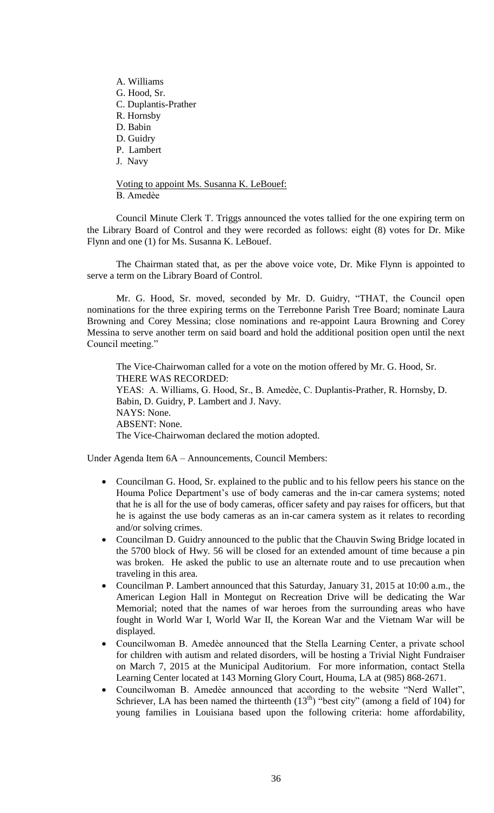A. Williams G. Hood, Sr. C. Duplantis-Prather R. Hornsby D. Babin D. Guidry P. Lambert J. Navy

Voting to appoint Ms. Susanna K. LeBouef: B. Amedѐe

Council Minute Clerk T. Triggs announced the votes tallied for the one expiring term on the Library Board of Control and they were recorded as follows: eight (8) votes for Dr. Mike Flynn and one (1) for Ms. Susanna K. LeBouef.

The Chairman stated that, as per the above voice vote, Dr. Mike Flynn is appointed to serve a term on the Library Board of Control.

Mr. G. Hood, Sr. moved, seconded by Mr. D. Guidry, "THAT, the Council open nominations for the three expiring terms on the Terrebonne Parish Tree Board; nominate Laura Browning and Corey Messina; close nominations and re-appoint Laura Browning and Corey Messina to serve another term on said board and hold the additional position open until the next Council meeting."

The Vice-Chairwoman called for a vote on the motion offered by Mr. G. Hood, Sr. THERE WAS RECORDED: YEAS: A. Williams, G. Hood, Sr., B. Amedèe, C. Duplantis-Prather, R. Hornsby, D. Babin, D. Guidry, P. Lambert and J. Navy. NAYS: None. ABSENT: None. The Vice-Chairwoman declared the motion adopted.

Under Agenda Item 6A – Announcements, Council Members:

- Councilman G. Hood, Sr. explained to the public and to his fellow peers his stance on the Houma Police Department's use of body cameras and the in-car camera systems; noted that he is all for the use of body cameras, officer safety and pay raises for officers, but that he is against the use body cameras as an in-car camera system as it relates to recording and/or solving crimes.
- Councilman D. Guidry announced to the public that the Chauvin Swing Bridge located in the 5700 block of Hwy. 56 will be closed for an extended amount of time because a pin was broken. He asked the public to use an alternate route and to use precaution when traveling in this area.
- Councilman P. Lambert announced that this Saturday, January 31, 2015 at 10:00 a.m., the American Legion Hall in Montegut on Recreation Drive will be dedicating the War Memorial; noted that the names of war heroes from the surrounding areas who have fought in World War I, World War II, the Korean War and the Vietnam War will be displayed.
- Councilwoman B. Amedèe announced that the Stella Learning Center, a private school for children with autism and related disorders, will be hosting a Trivial Night Fundraiser on March 7, 2015 at the Municipal Auditorium. For more information, contact Stella Learning Center located at 143 Morning Glory Court, Houma, LA at (985) 868-2671.
- Councilwoman B. Amedѐe announced that according to the website "Nerd Wallet", Schriever, LA has been named the thirteenth  $(13<sup>th</sup>)$  "best city" (among a field of 104) for young families in Louisiana based upon the following criteria: home affordability,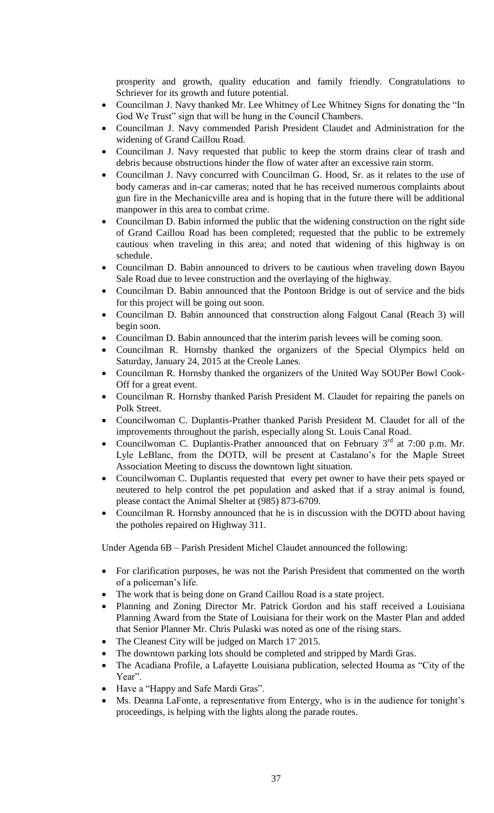prosperity and growth, quality education and family friendly. Congratulations to Schriever for its growth and future potential.

- Councilman J. Navy thanked Mr. Lee Whitney of Lee Whitney Signs for donating the "In God We Trust" sign that will be hung in the Council Chambers.
- Councilman J. Navy commended Parish President Claudet and Administration for the widening of Grand Caillou Road.
- Councilman J. Navy requested that public to keep the storm drains clear of trash and debris because obstructions hinder the flow of water after an excessive rain storm.
- Councilman J. Navy concurred with Councilman G. Hood, Sr. as it relates to the use of body cameras and in-car cameras; noted that he has received numerous complaints about gun fire in the Mechanicville area and is hoping that in the future there will be additional manpower in this area to combat crime.
- Councilman D. Babin informed the public that the widening construction on the right side of Grand Caillou Road has been completed; requested that the public to be extremely cautious when traveling in this area; and noted that widening of this highway is on schedule.
- Councilman D. Babin announced to drivers to be cautious when traveling down Bayou Sale Road due to levee construction and the overlaying of the highway.
- Councilman D. Babin announced that the Pontoon Bridge is out of service and the bids for this project will be going out soon.
- Councilman D. Babin announced that construction along Falgout Canal (Reach 3) will begin soon.
- Councilman D. Babin announced that the interim parish levees will be coming soon.
- Councilman R. Hornsby thanked the organizers of the Special Olympics held on Saturday, January 24, 2015 at the Creole Lanes.
- Councilman R. Hornsby thanked the organizers of the United Way SOUPer Bowl Cook-Off for a great event.
- Councilman R. Hornsby thanked Parish President M. Claudet for repairing the panels on Polk Street.
- Councilwoman C. Duplantis-Prather thanked Parish President M. Claudet for all of the improvements throughout the parish, especially along St. Louis Canal Road.
- Councilwoman C. Duplantis-Prather announced that on February  $3<sup>rd</sup>$  at 7:00 p.m. Mr. Lyle LeBlanc, from the DOTD, will be present at Castalano's for the Maple Street Association Meeting to discuss the downtown light situation.
- Councilwoman C. Duplantis requested that every pet owner to have their pets spayed or neutered to help control the pet population and asked that if a stray animal is found, please contact the Animal Shelter at (985) 873-6709.
- Councilman R. Hornsby announced that he is in discussion with the DOTD about having the potholes repaired on Highway 311.

Under Agenda 6B – Parish President Michel Claudet announced the following:

- For clarification purposes, he was not the Parish President that commented on the worth of a policeman's life.
- The work that is being done on Grand Caillou Road is a state project.
- Planning and Zoning Director Mr. Patrick Gordon and his staff received a Louisiana Planning Award from the State of Louisiana for their work on the Master Plan and added that Senior Planner Mr. Chris Pulaski was noted as one of the rising stars.
- The Cleanest City will be judged on March 17' 2015.
- The downtown parking lots should be completed and stripped by Mardi Gras.
- The Acadiana Profile, a Lafayette Louisiana publication, selected Houma as "City of the Year".
- Have a "Happy and Safe Mardi Gras".
- Ms. Deanna LaFonte, a representative from Entergy, who is in the audience for tonight's proceedings, is helping with the lights along the parade routes.